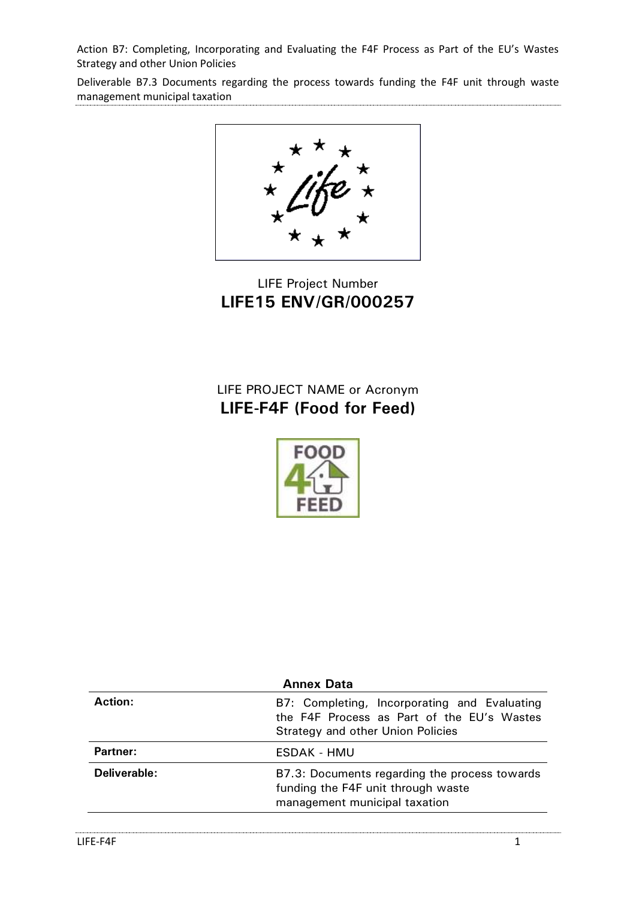Deliverable B7.3 Documents regarding the process towards funding the F4F unit through waste management municipal taxation

LIFE Project Number **LIFE15 ENV/GR/000257**

LIFE PROJECT NAME or Acronym **LIFE-F4F (Food for Feed)**



| <b>Annex Data</b>                                                                          |  |  |
|--------------------------------------------------------------------------------------------|--|--|
| B7: Completing, Incorporating and Evaluating<br>the F4F Process as Part of the EU's Wastes |  |  |
|                                                                                            |  |  |
| B7.3: Documents regarding the process towards                                              |  |  |
|                                                                                            |  |  |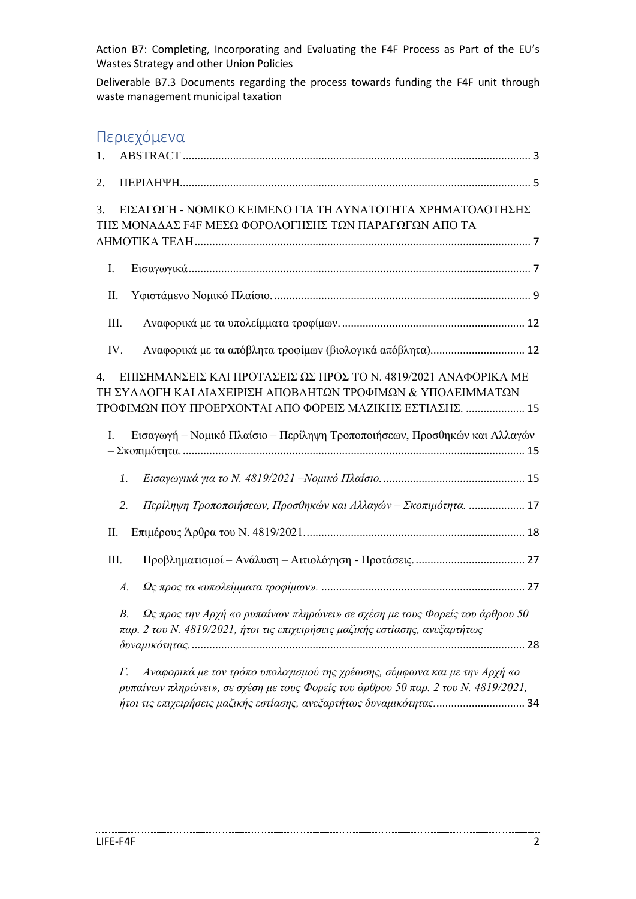Deliverable B7.3 Documents regarding the process towards funding the F4F unit through waste management municipal taxation

# Περιεχόμενα

| 1.         |                                                                                                                                                                                                                                          |
|------------|------------------------------------------------------------------------------------------------------------------------------------------------------------------------------------------------------------------------------------------|
| 2.         |                                                                                                                                                                                                                                          |
| 3.         | ΕΙΣΑΓΩΓΗ - ΝΟΜΙΚΟ ΚΕΙΜΕΝΟ ΓΙΑ ΤΗ ΔΥΝΑΤΟΤΗΤΑ ΧΡΗΜΑΤΟΔΟΤΗΣΗΣ<br>ΤΗΣ ΜΟΝΑΔΑΣ F4F ΜΕΣΩ ΦΟΡΟΛΟΓΗΣΗΣ ΤΩΝ ΠΑΡΑΓΩΓΩΝ ΑΠΟ ΤΑ                                                                                                                      |
|            |                                                                                                                                                                                                                                          |
| Ι.         |                                                                                                                                                                                                                                          |
| Π.         |                                                                                                                                                                                                                                          |
| III.       |                                                                                                                                                                                                                                          |
| IV.        | Αναφορικά με τα απόβλητα τροφίμων (βιολογικά απόβλητα) 12                                                                                                                                                                                |
| 4.         | ΕΠΙΣΗΜΑΝΣΕΙΣ ΚΑΙ ΠΡΟΤΑΣΕΙΣ ΩΣ ΠΡΟΣ ΤΟ Ν. 4819/2021 ΑΝΑΦΟΡΙΚΑ ΜΕ<br>ΤΗ ΣΥΛΛΟΓΗ ΚΑΙ ΔΙΑΧΕΙΡΙΣΗ ΑΠΟΒΛΗΤΩΝ ΤΡΟΦΙΜΩΝ & ΥΠΟΛΕΙΜΜΑΤΩΝ<br>ΤΡΟΦΙΜΩΝ ΠΟΥ ΠΡΟΕΡΧΟΝΤΑΙ ΑΠΟ ΦΟΡΕΙΣ ΜΑΖΙΚΗΣ ΕΣΤΙΑΣΗΣ.  15                                              |
| I.         | Εισαγωγή – Νομικό Πλαίσιο – Περίληψη Τροποποιήσεων, Προσθηκών και Αλλαγών                                                                                                                                                                |
| 1.         |                                                                                                                                                                                                                                          |
| 2.         | Περίληψη Τροποποιήσεων, Προσθηκών και Αλλαγών – Σκοπιμότητα.  17                                                                                                                                                                         |
| П.         |                                                                                                                                                                                                                                          |
| III.       |                                                                                                                                                                                                                                          |
| A.         |                                                                                                                                                                                                                                          |
| $B$ .      | Ως προς την Αρχή «ο ρυπαίνων πληρώνει» σε σχέση με τους Φορείς του άρθρου 50<br>παρ. 2 του Ν. 4819/2021, ήτοι τις επιχειρήσεις μαζικής εστίασης, ανεξαρτήτως                                                                             |
| $\Gamma$ . | Αναφορικά με τον τρόπο υπολογισμού της χρέωσης, σύμφωνα και με την Αρχή «ο<br>ρυπαίνων πληρώνει», σε σχέση με τους Φορείς του άρθρου 50 παρ. 2 του Ν. 4819/2021,<br>ήτοι τις επιχειρήσεις μαζικής εστίασης, ανεξαρτήτως δυναμικότητας 34 |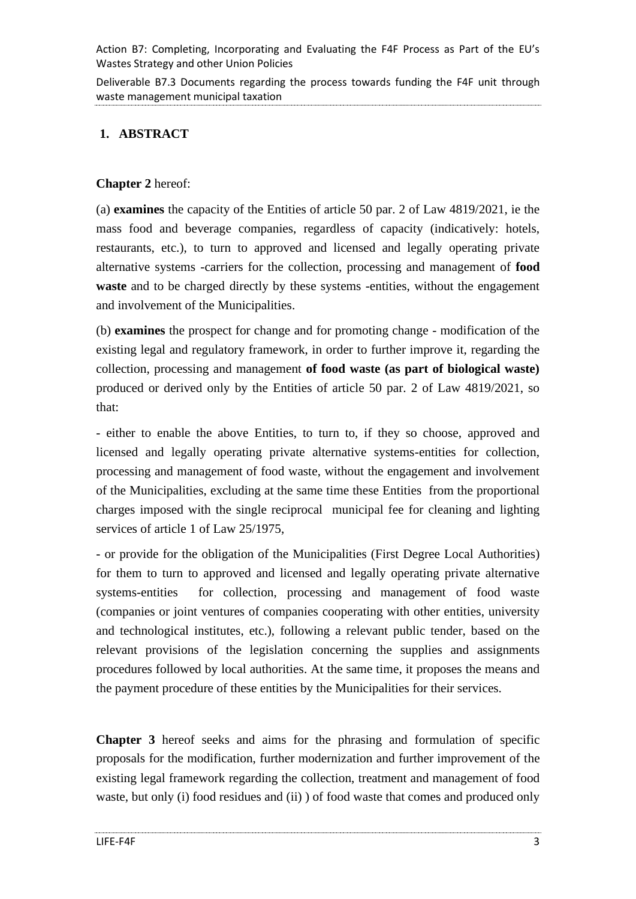Deliverable B7.3 Documents regarding the process towards funding the F4F unit through waste management municipal taxation

# <span id="page-2-0"></span>**1. ABSTRACT**

# **Chapter 2** hereof:

(a) **examines** the capacity of the Entities of article 50 par. 2 of Law 4819/2021, ie the mass food and beverage companies, regardless of capacity (indicatively: hotels, restaurants, etc.), to turn to approved and licensed and legally operating private alternative systems -carriers for the collection, processing and management of **food waste** and to be charged directly by these systems -entities, without the engagement and involvement of the Municipalities.

(b) **examines** the prospect for change and for promoting change - modification of the existing legal and regulatory framework, in order to further improve it, regarding the collection, processing and management **of food waste (as part of biological waste)** produced or derived only by the Entities of article 50 par. 2 of Law 4819/2021, so that:

- either to enable the above Entities, to turn to, if they so choose, approved and licensed and legally operating private alternative systems-entities for collection, processing and management of food waste, without the engagement and involvement of the Municipalities, excluding at the same time these Entities from the proportional charges imposed with the single reciprocal municipal fee for cleaning and lighting services of article 1 of Law 25/1975,

- or provide for the obligation of the Municipalities (First Degree Local Authorities) for them to turn to approved and licensed and legally operating private alternative systems-entities for collection, processing and management of food waste (companies or joint ventures of companies cooperating with other entities, university and technological institutes, etc.), following a relevant public tender, based on the relevant provisions of the legislation concerning the supplies and assignments procedures followed by local authorities. At the same time, it proposes the means and the payment procedure of these entities by the Municipalities for their services.

**Chapter 3** hereof seeks and aims for the phrasing and formulation of specific proposals for the modification, further modernization and further improvement of the existing legal framework regarding the collection, treatment and management of food waste, but only (i) food residues and (ii) ) of food waste that comes and produced only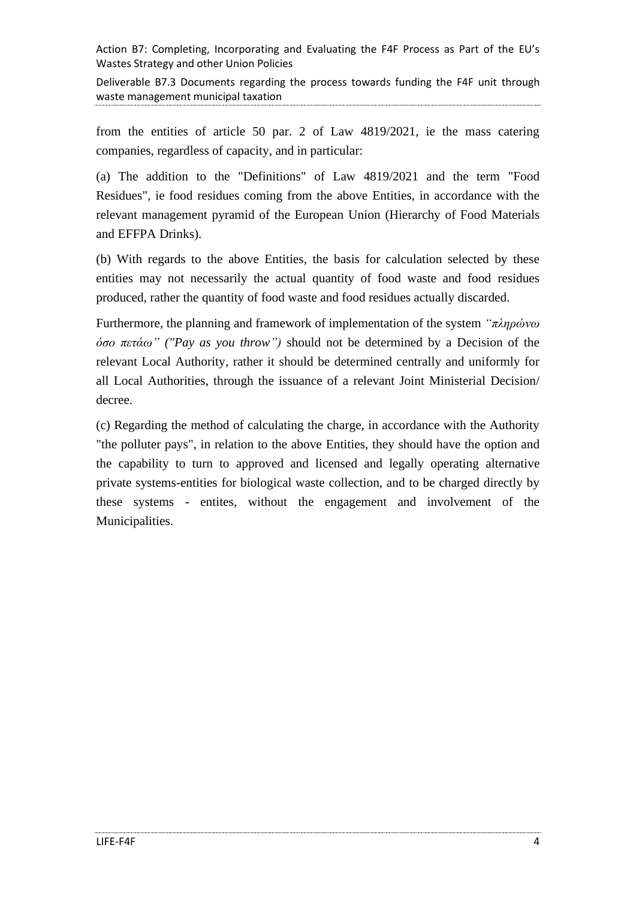Deliverable B7.3 Documents regarding the process towards funding the F4F unit through waste management municipal taxation

from the entities of article 50 par. 2 of Law 4819/2021, ie the mass catering companies, regardless of capacity, and in particular:

(a) The addition to the "Definitions" of Law 4819/2021 and the term "Food Residues", ie food residues coming from the above Entities, in accordance with the relevant management pyramid of the European Union (Hierarchy of Food Materials and EFFPA Drinks).

(b) With regards to the above Entities, the basis for calculation selected by these entities may not necessarily the actual quantity of food waste and food residues produced, rather the quantity of food waste and food residues actually discarded.

Furthermore, the planning and framework of implementation of the system *"πληρώνω όσο πετάω" ("Pay as you throw")* should not be determined by a Decision of the relevant Local Authority, rather it should be determined centrally and uniformly for all Local Authorities, through the issuance of a relevant Joint Ministerial Decision/ decree.

(c) Regarding the method of calculating the charge, in accordance with the Authority "the polluter pays", in relation to the above Entities, they should have the option and the capability to turn to approved and licensed and legally operating alternative private systems-entities for biological waste collection, and to be charged directly by these systems - entites, without the engagement and involvement of the Municipalities.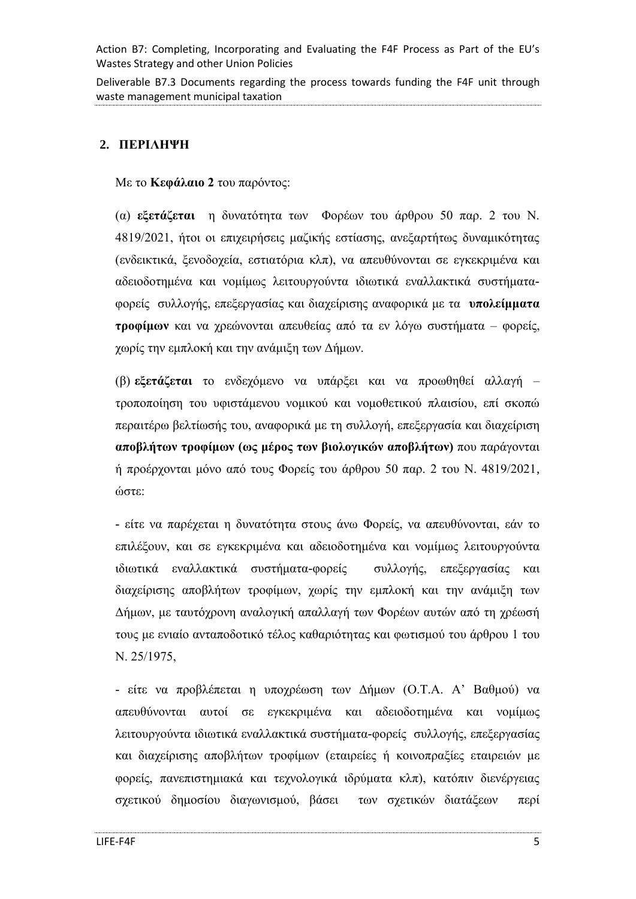Deliverable B7.3 Documents regarding the process towards funding the F4F unit through waste management municipal taxation

# <span id="page-4-0"></span>**2. ΠΕΡΙΛΗΨΗ**

Με το **Κεφάλαιο 2** του παρόντος:

(α) **εξετάζεται** η δυνατότητα των Φορέων του άρθρου 50 παρ. 2 του Ν. 4819/2021, ήτοι οι επιχειρήσεις μαζικής εστίασης, ανεξαρτήτως δυναμικότητας (ενδεικτικά, ξενοδοχεία, εστιατόρια κλπ), να απευθύνονται σε εγκεκριμένα και αδειοδοτημένα και νομίμως λειτουργούντα ιδιωτικά εναλλακτικά συστήματαφορείς συλλογής, επεξεργασίας και διαχείρισης αναφορικά με τα **υπολείμματα τροφίμων** και να χρεώνονται απευθείας από τα εν λόγω συστήματα – φορείς, χωρίς την εμπλοκή και την ανάμιξη των Δήμων.

(β) **εξετάζεται** το ενδεχόμενο να υπάρξει και να προωθηθεί αλλαγή – τροποποίηση του υφιστάμενου νομικού και νομοθετικού πλαισίου, επί σκοπώ περαιτέρω βελτίωσής του, αναφορικά με τη συλλογή, επεξεργασία και διαχείριση **αποβλήτων τροφίμων (ως μέρος των βιολογικών αποβλήτων)** που παράγονται ή προέρχονται μόνο από τους Φορείς του άρθρου 50 παρ. 2 του Ν. 4819/2021, ώστε:

- είτε να παρέχεται η δυνατότητα στους άνω Φορείς, να απευθύνονται, εάν το επιλέξουν, και σε εγκεκριμένα και αδειοδοτημένα και νομίμως λειτουργούντα ιδιωτικά εναλλακτικά συστήματα-φορείς συλλογής, επεξεργασίας και διαχείρισης αποβλήτων τροφίμων, χωρίς την εμπλοκή και την ανάμιξη των Δήμων, με ταυτόχρονη αναλογική απαλλαγή των Φορέων αυτών από τη χρέωσή τους με ενιαίο ανταποδοτικό τέλος καθαριότητας και φωτισμού του άρθρου 1 του Ν. 25/1975,

- είτε να προβλέπεται η υποχρέωση των Δήμων (Ο.Τ.Α. Α' Βαθμού) να απευθύνονται αυτοί σε εγκεκριμένα και αδειοδοτημένα και νομίμως λειτουργούντα ιδιωτικά εναλλακτικά συστήματα-φορείς συλλογής, επεξεργασίας και διαχείρισης αποβλήτων τροφίμων (εταιρείες ή κοινοπραξίες εταιρειών με φορείς, πανεπιστημιακά και τεχνολογικά ιδρύματα κλπ), κατόπιν διενέργειας σχετικού δημοσίου διαγωνισμού, βάσει των σχετικών διατάξεων περί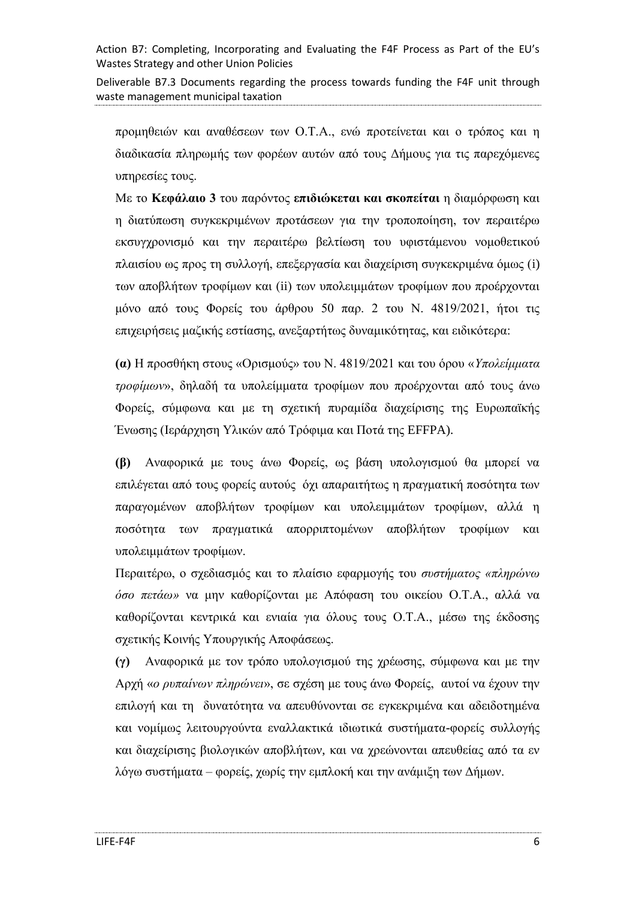Deliverable B7.3 Documents regarding the process towards funding the F4F unit through waste management municipal taxation

προμηθειών και αναθέσεων των Ο.Τ.Α., ενώ προτείνεται και ο τρόπος και η διαδικασία πληρωμής των φορέων αυτών από τους Δήμους για τις παρεχόμενες υπηρεσίες τους.

Με το **Κεφάλαιο 3** του παρόντος **επιδιώκεται και σκοπείται** η διαμόρφωση και η διατύπωση συγκεκριμένων προτάσεων για την τροποποίηση, τον περαιτέρω εκσυγχρονισμό και την περαιτέρω βελτίωση του υφιστάμενου νομοθετικού πλαισίου ως προς τη συλλογή, επεξεργασία και διαχείριση συγκεκριμένα όμως (i) των αποβλήτων τροφίμων και (ii) των υπολειμμάτων τροφίμων που προέρχονται μόνο από τους Φορείς του άρθρου 50 παρ. 2 του Ν. 4819/2021, ήτοι τις επιχειρήσεις μαζικής εστίασης, ανεξαρτήτως δυναμικότητας, και ειδικότερα:

**(α)** Η προσθήκη στους «Ορισμούς» του Ν. 4819/2021 και του όρου «*Υπολείμματα τροφίμων*», δηλαδή τα υπολείμματα τροφίμων που προέρχονται από τους άνω Φορείς, σύμφωνα και με τη σχετική πυραμίδα διαχείρισης της Ευρωπαϊκής Ένωσης (Ιεράρχηση Υλικών από Τρόφιμα και Ποτά της EFFPA).

**(β)** Αναφορικά με τους άνω Φορείς, ως βάση υπολογισμού θα μπορεί να επιλέγεται από τους φορείς αυτούς όχι απαραιτήτως η πραγματική ποσότητα των παραγομένων αποβλήτων τροφίμων και υπολειμμάτων τροφίμων, αλλά η ποσότητα των πραγματικά απορριπτομένων αποβλήτων τροφίμων και υπολειμμάτων τροφίμων.

Περαιτέρω, ο σχεδιασμός και το πλαίσιο εφαρμογής του *συστήματος «πληρώνω όσο πετάω»* να μην καθορίζονται με Απόφαση του οικείου Ο.Τ.Α., αλλά να καθορίζονται κεντρικά και ενιαία για όλους τους Ο.Τ.Α., μέσω της έκδοσης σχετικής Κοινής Υπουργικής Αποφάσεως.

**(γ)** Αναφορικά με τον τρόπο υπολογισμού της χρέωσης, σύμφωνα και με την Αρχή «*ο ρυπαίνων πληρώνει*», σε σχέση με τους άνω Φορείς, αυτοί να έχουν την επιλογή και τη δυνατότητα να απευθύνονται σε εγκεκριμένα και αδειδοτημένα και νομίμως λειτουργούντα εναλλακτικά ιδιωτικά συστήματα-φορείς συλλογής και διαχείρισης βιολογικών αποβλήτων, και να χρεώνονται απευθείας από τα εν λόγω συστήματα – φορείς, χωρίς την εμπλοκή και την ανάμιξη των Δήμων.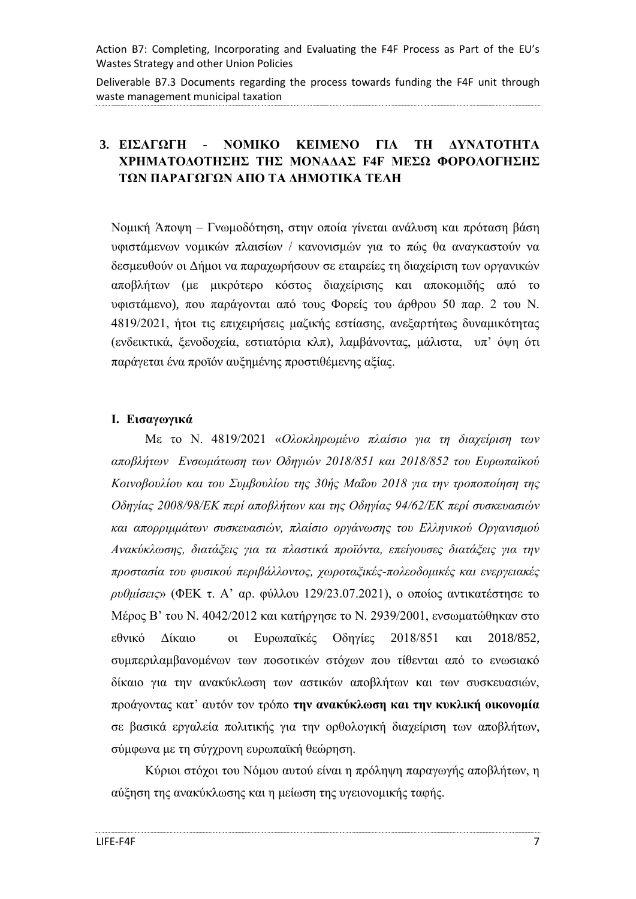Deliverable B7.3 Documents regarding the process towards funding the F4F unit through waste management municipal taxation

# <span id="page-6-0"></span>**3. ΕΙΣΑΓΩΓΗ - ΝΟΜΙΚΟ ΚΕΙΜΕΝΟ ΓΙΑ ΤΗ ΔΥΝΑΤΟΤΗΤΑ ΧΡΗΜΑΤΟΔΟΤΗΣΗΣ ΤΗΣ ΜΟΝΑΔΑΣ F4F ΜΕΣΩ ΦΟΡΟΛΟΓΗΣΗΣ ΤΩΝ ΠΑΡΑΓΩΓΩΝ ΑΠΟ ΤΑ ΔΗΜΟΤΙΚΑ ΤΕΛΗ**

Νομική Άποψη – Γνωμοδότηση, στην οποία γίνεται ανάλυση και πρόταση βάση υφιστάμενων νομικών πλαισίων / κανονισμών για το πώς θα αναγκαστούν να δεσμευθούν οι Δήμοι να παραχωρήσουν σε εταιρείες τη διαχείριση των οργανικών αποβλήτων (με μικρότερο κόστος διαχείρισης και αποκομιδής από το υφιστάμενο), που παράγονται από τους Φορείς του άρθρου 50 παρ. 2 του Ν. 4819/2021, ήτοι τις επιχειρήσεις μαζικής εστίασης, ανεξαρτήτως δυναμικότητας (ενδεικτικά, ξενοδοχεία, εστιατόρια κλπ), λαμβάνοντας, μάλιστα, υπ' όψη ότι παράγεται ένα προϊόν αυξημένης προστιθέμενης αξίας.

#### <span id="page-6-1"></span>**Ι. Εισαγωγικά**

Με το Ν. 4819/2021 «*Ολοκληρωμένο πλαίσιο για τη διαχείριση των αποβλήτων Ενσωμάτωση των Οδηγιών 2018/851 και 2018/852 του Ευρωπαϊκού Κοινοβουλίου και του Συμβουλίου της 30ής Μαΐου 2018 για την τροποποίηση της Οδηγίας 2008/98/ΕΚ περί αποβλήτων και της Οδηγίας 94/62/ΕΚ περί συσκευασιών και απορριμμάτων συσκευασιών, πλαίσιο οργάνωσης του Ελληνικού Οργανισμού Ανακύκλωσης, διατάξεις για τα πλαστικά προϊόντα, επείγουσες διατάξεις για την προστασία του φυσικού περιβάλλοντος, χωροταξικές-πολεοδομικές και ενεργειακές ρυθμίσεις*» (ΦΕΚ τ. Α' αρ. φύλλου 129/23.07.2021), ο οποίος αντικατέστησε το Μέρος Β' του Ν. 4042/2012 και κατήργησε το Ν. 2939/2001, ενσωματώθηκαν στο εθνικό Δίκαιο οι Ευρωπαϊκές Οδηγίες 2018/851 και 2018/852, συμπεριλαμβανομένων των ποσοτικών στόχων που τίθενται από το ενωσιακό δίκαιο για την ανακύκλωση των αστικών αποβλήτων και των συσκευασιών, προάγοντας κατ' αυτόν τον τρόπο **την ανακύκλωση και την κυκλική οικονομία** σε βασικά εργαλεία πολιτικής για την ορθολογική διαχείριση των αποβλήτων, σύμφωνα με τη σύγχρονη ευρωπαϊκή θεώρηση.

Κύριοι στόχοι του Νόμου αυτού είναι η πρόληψη παραγωγής αποβλήτων, η αύξηση της ανακύκλωσης και η μείωση της υγειονομικής ταφής.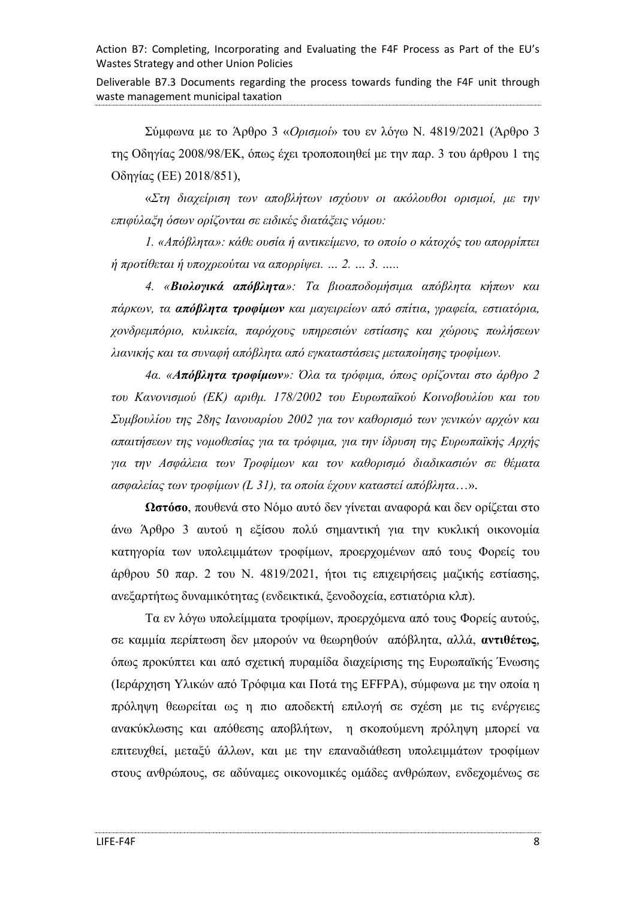Deliverable B7.3 Documents regarding the process towards funding the F4F unit through waste management municipal taxation

Σύμφωνα με το Άρθρο 3 «*Ορισμοί*» του εν λόγω Ν. 4819/2021 (Άρθρο 3 της Οδηγίας 2008/98/ΕΚ, όπως έχει τροποποιηθεί με την παρ. 3 του άρθρου 1 της Οδηγίας (ΕΕ) 2018/851),

«*Στη διαχείριση των αποβλήτων ισχύουν οι ακόλουθοι ορισμοί, με την επιφύλαξη όσων ορίζονται σε ειδικές διατάξεις νόμου:*

*1. «Απόβλητα»: κάθε ουσία ή αντικείμενο, το οποίο ο κάτοχός του απορρίπτει ή προτίθεται ή υποχρεούται να απορρίψει. … 2. … 3. …..*

*4. «Βιολογικά απόβλητα»: Τα βιοαποδομήσιμα απόβλητα κήπων και πάρκων, τα απόβλητα τροφίμων και μαγειρείων από σπίτια, γραφεία, εστιατόρια, χονδρεμπόριο, κυλικεία, παρόχους υπηρεσιών εστίασης και χώρους πωλήσεων λιανικής και τα συναφή απόβλητα από εγκαταστάσεις μεταποίησης τροφίμων.*

*4α. «Απόβλητα τροφίμων»: Όλα τα τρόφιμα, όπως ορίζονται στο άρθρο 2 του Κανονισμού (ΕΚ) αριθμ. 178/2002 του Ευρωπαϊκού Κοινοβουλίου και του Συμβουλίου της 28ης Ιανουαρίου 2002 για τον καθορισμό των γενικών αρχών και απαιτήσεων της νομοθεσίας για τα τρόφιμα, για την ίδρυση της Ευρωπαϊκής Αρχής για την Ασφάλεια των Τροφίμων και τον καθορισμό διαδικασιών σε θέματα ασφαλείας των τροφίμων (L 31), τα οποία έχουν καταστεί απόβλητα*…»*.*

**Ωστόσο**, πουθενά στο Νόμο αυτό δεν γίνεται αναφορά και δεν ορίζεται στο άνω Άρθρο 3 αυτού η εξίσου πολύ σημαντική για την κυκλική οικονομία κατηγορία των υπολειμμάτων τροφίμων, προερχομένων από τους Φορείς του άρθρου 50 παρ. 2 του Ν. 4819/2021, ήτοι τις επιχειρήσεις μαζικής εστίασης, ανεξαρτήτως δυναμικότητας (ενδεικτικά, ξενοδοχεία, εστιατόρια κλπ).

Τα εν λόγω υπολείμματα τροφίμων, προερχόμενα από τους Φορείς αυτούς, σε καμμία περίπτωση δεν μπορούν να θεωρηθούν απόβλητα, αλλά, **αντιθέτως**, όπως προκύπτει και από σχετική πυραμίδα διαχείρισης της Ευρωπαϊκής Ένωσης (Ιεράρχηση Υλικών από Τρόφιμα και Ποτά της EFFPA), σύμφωνα με την οποία η πρόληψη θεωρείται ως η πιο αποδεκτή επιλογή σε σχέση με τις ενέργειες ανακύκλωσης και απόθεσης αποβλήτων, η σκοπούμενη πρόληψη μπορεί να επιτευχθεί, μεταξύ άλλων, και με την επαναδιάθεση υπολειμμάτων τροφίμων στους ανθρώπους, σε αδύναμες οικονομικές ομάδες ανθρώπων, ενδεχομένως σε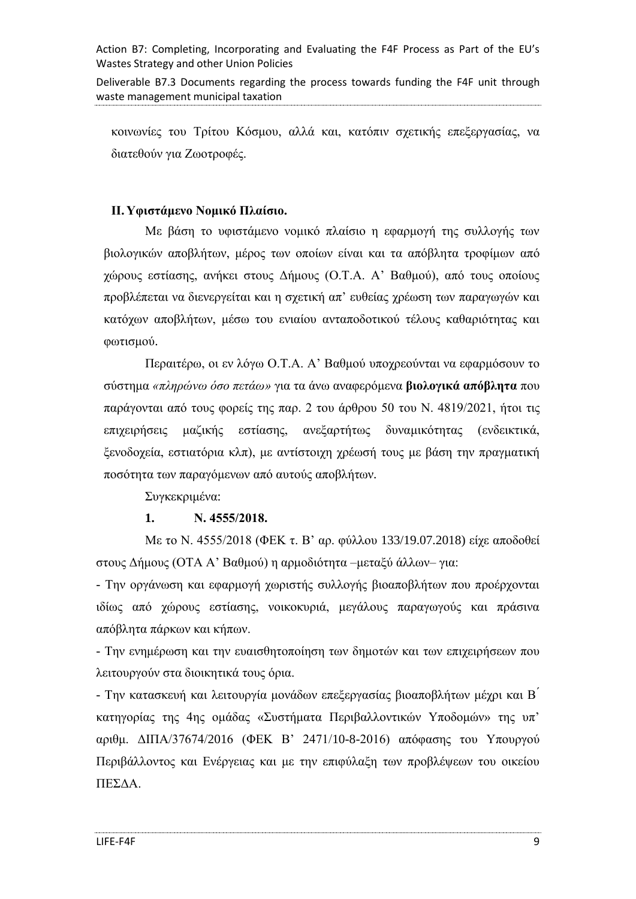Deliverable B7.3 Documents regarding the process towards funding the F4F unit through waste management municipal taxation

κοινωνίες του Τρίτου Κόσμου, αλλά και, κατόπιν σχετικής επεξεργασίας, να διατεθούν για Ζωοτροφές.

### <span id="page-8-0"></span>**ΙΙ. Υφιστάμενο Νομικό Πλαίσιο.**

Με βάση το υφιστάμενο νομικό πλαίσιο η εφαρμογή της συλλογής των βιολογικών αποβλήτων, μέρος των οποίων είναι και τα απόβλητα τροφίμων από χώρους εστίασης, ανήκει στους Δήμους (Ο.Τ.Α. Α' Βαθμού), από τους οποίους προβλέπεται να διενεργείται και η σχετική απ' ευθείας χρέωση των παραγωγών και κατόχων αποβλήτων, μέσω του ενιαίου ανταποδοτικού τέλους καθαριότητας και φωτισμού.

Περαιτέρω, οι εν λόγω Ο.Τ.Α. Α' Βαθμού υποχρεούνται να εφαρμόσουν το σύστημα *«πληρώνω όσο πετάω»* για τα άνω αναφερόμενα **βιολογικά απόβλητα** που παράγονται από τους φορείς της παρ. 2 του άρθρου 50 του Ν. 4819/2021, ήτοι τις επιχειρήσεις μαζικής εστίασης, ανεξαρτήτως δυναμικότητας (ενδεικτικά, ξενοδοχεία, εστιατόρια κλπ), με αντίστοιχη χρέωσή τους με βάση την πραγματική ποσότητα των παραγόμενων από αυτούς αποβλήτων*.*

Συγκεκριμένα:

### **1. Ν. 4555/2018.**

Με το Ν. 4555/2018 (ΦΕΚ τ. Β' αρ. φύλλου 133/19.07.2018) είχε αποδοθεί στους Δήμους (ΟΤΑ Α' Βαθμού) η αρμοδιότητα –μεταξύ άλλων– για:

- Την οργάνωση και εφαρμογή χωριστής συλλογής βιοαποβλήτων που προέρχονται ιδίως από χώρους εστίασης, νοικοκυριά, μεγάλους παραγωγούς και πράσινα απόβλητα πάρκων και κήπων.

- Την ενημέρωση και την ευαισθητοποίηση των δημοτών και των επιχειρήσεων που λειτουργούν στα διοικητικά τους όρια.

- Την κατασκευή και λειτουργία μονάδων επεξεργασίας βιοαποβλήτων μέχρι και Β<sup>'</sup> κατηγορίας της 4ης ομάδας «Συστήματα Περιβαλλοντικών Υποδομών» της υπ' αριθμ. ΔΙΠΑ/37674/2016 (ΦΕΚ Β' 2471/10-8-2016) απόφασης του Υπουργού Περιβάλλοντος και Ενέργειας και με την επιφύλαξη των προβλέψεων του οικείου ΠΕΣΔΑ.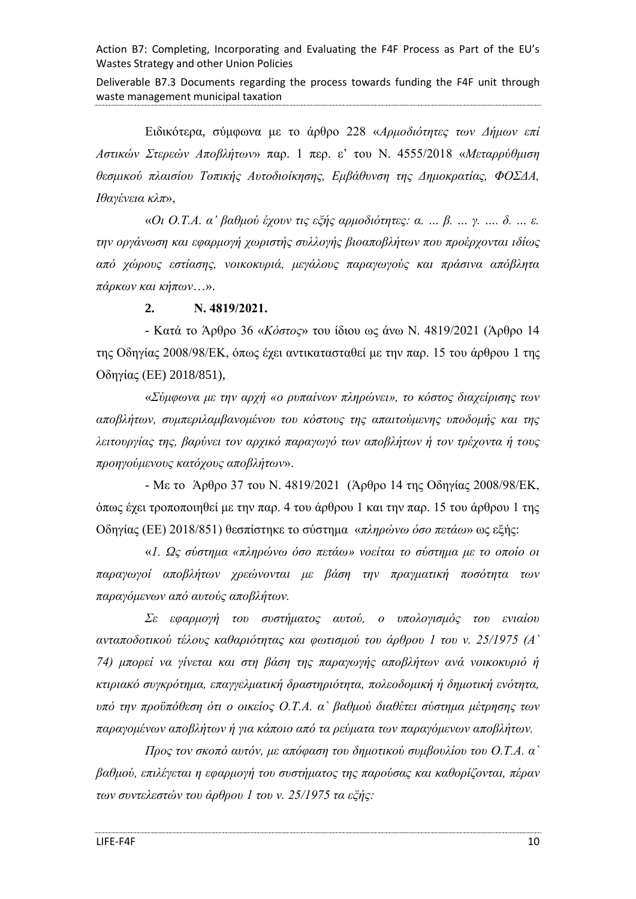Deliverable B7.3 Documents regarding the process towards funding the F4F unit through waste management municipal taxation

Ειδικότερα, σύμφωνα με το άρθρο 228 «*Αρμοδιότητες των Δήμων επί Αστικών Στερεών Αποβλήτων*» παρ. 1 περ. ε' του Ν. 4555/2018 «*Μεταρρύθμιση θεσμικού πλαισίου Τοπικής Αυτοδιοίκησης, Εμβάθυνση της Δημοκρατίας, ΦΟΣΔΑ, Ιθαγένεια κλπ*»,

«*Οι Ο.Τ.Α. α' βαθμού έχουν τις εξής αρμοδιότητες: α. … β. … γ. …. δ. … ε. την οργάνωση και εφαρμογή χωριστής συλλογής βιοαποβλήτων που προέρχονται ιδίως από χώρους εστίασης, νοικοκυριά, μεγάλους παραγωγούς και πράσινα απόβλητα πάρκων και κήπων*…».

**2. Ν. 4819/2021.**

- Κατά το Άρθρο 36 «*Κόστος*» του ίδιου ως άνω Ν. 4819/2021 (Άρθρο 14 της Οδηγίας 2008/98/ΕΚ, όπως έχει αντικατασταθεί με την παρ. 15 του άρθρου 1 της Οδηγίας (ΕΕ) 2018/851),

«*Σύμφωνα με την αρχή «ο ρυπαίνων πληρώνει», το κόστος διαχείρισης των αποβλήτων, συμπεριλαμβανομένου του κόστους της απαιτούμενης υποδομής και της λειτουργίας της, βαρύνει τον αρχικό παραγωγό των αποβλήτων ή τον τρέχοντα ή τους προηγούμενους κατόχους αποβλήτων*».

- Με το Άρθρο 37 του Ν. 4819/2021 (Άρθρο 14 της Οδηγίας 2008/98/ΕΚ, όπως έχει τροποποιηθεί με την παρ. 4 του άρθρου 1 και την παρ. 15 του άρθρου 1 της Οδηγίας (ΕΕ) 2018/851) θεσπίστηκε το σύστημα «*πληρώνω όσο πετάω*» ως εξής:

«*1. Ως σύστημα «πληρώνω όσο πετάω» νοείται το σύστημα με το οποίο οι παραγωγοί αποβλήτων χρεώνονται με βάση την πραγματική ποσότητα των παραγόμενων από αυτούς αποβλήτων.*

*Σε εφαρμογή του συστήματος αυτού, ο υπολογισμός του ενιαίου ανταποδοτικού τέλους καθαριότητας και φωτισμού του άρθρου 1 του ν. 25/1975 (Α` 74) μπορεί να γίνεται και στη βάση της παραγωγής αποβλήτων ανά νοικοκυριό ή κτιριακό συγκρότημα, επαγγελματική δραστηριότητα, πολεοδομική ή δημοτική ενότητα, υπό την προϋπόθεση ότι ο οικείος Ο.Τ.Α. α` βαθμού διαθέτει σύστημα μέτρησης των παραγομένων αποβλήτων ή για κάποιο από τα ρεύματα των παραγόμενων αποβλήτων.*

*Προς τον σκοπό αυτόν, με απόφαση του δημοτικού συμβουλίου του Ο.Τ.Α. α` βαθμού, επιλέγεται η εφαρμογή του συστήματος της παρούσας και καθορίζονται, πέραν των συντελεστών του άρθρου 1 του ν. 25/1975 τα εξής:*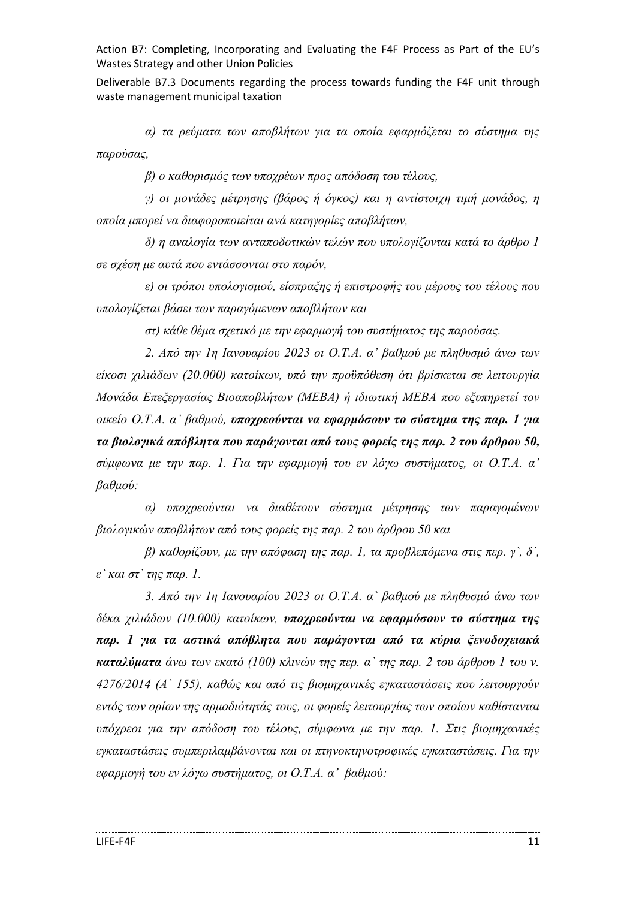Deliverable B7.3 Documents regarding the process towards funding the F4F unit through waste management municipal taxation

*α) τα ρεύματα των αποβλήτων για τα οποία εφαρμόζεται το σύστημα της παρούσας,*

*β) ο καθορισμός των υποχρέων προς απόδοση του τέλους,*

*γ) οι μονάδες μέτρησης (βάρος ή όγκος) και η αντίστοιχη τιμή μονάδος, η οποία μπορεί να διαφοροποιείται ανά κατηγορίες αποβλήτων,*

*δ) η αναλογία των ανταποδοτικών τελών που υπολογίζονται κατά το άρθρο 1 σε σχέση με αυτά που εντάσσονται στο παρόν,*

*ε) οι τρόποι υπολογισμού, είσπραξης ή επιστροφής του μέρους του τέλους που υπολογίζεται βάσει των παραγόμενων αποβλήτων και*

*στ) κάθε θέμα σχετικό με την εφαρμογή του συστήματος της παρούσας.*

*2. Από την 1η Ιανουαρίου 2023 οι Ο.Τ.Α. α' βαθμού με πληθυσμό άνω των είκοσι χιλιάδων (20.000) κατοίκων, υπό την προϋπόθεση ότι βρίσκεται σε λειτουργία Μονάδα Επεξεργασίας Βιοαποβλήτων (ΜΕΒΑ) ή ιδιωτική ΜΕΒΑ που εξυπηρετεί τον οικείο Ο.Τ.Α. α' βαθμού, υποχρεούνται να εφαρμόσουν το σύστημα της παρ. 1 για τα βιολογικά απόβλητα που παράγονται από τους φορείς της παρ. 2 του άρθρου 50, σύμφωνα με την παρ. 1. Για την εφαρμογή του εν λόγω συστήματος, οι Ο.Τ.Α. α' βαθμού:*

*α) υποχρεούνται να διαθέτουν σύστημα μέτρησης των παραγομένων βιολογικών αποβλήτων από τους φορείς της παρ. 2 του άρθρου 50 και*

*β) καθορίζουν, με την απόφαση της παρ. 1, τα προβλεπόμενα στις περ. γ`, δ`, ε` και στ` της παρ. 1.*

*3. Από την 1η Ιανουαρίου 2023 οι Ο.Τ.Α. α` βαθμού με πληθυσμό άνω των δέκα χιλιάδων (10.000) κατοίκων, υποχρεούνται να εφαρμόσουν το σύστημα της παρ. 1 για τα αστικά απόβλητα που παράγονται από τα κύρια ξενοδοχειακά καταλύματα άνω των εκατό (100) κλινών της περ. α` της παρ. 2 του άρθρου 1 του ν. 4276/2014 (Α` 155), καθώς και από τις βιομηχανικές εγκαταστάσεις που λειτουργούν εντός των ορίων της αρμοδιότητάς τους, οι φορείς λειτουργίας των οποίων καθίστανται υπόχρεοι για την απόδοση του τέλους, σύμφωνα με την παρ. 1. Στις βιομηχανικές εγκαταστάσεις συμπεριλαμβάνονται και οι πτηνοκτηνοτροφικές εγκαταστάσεις. Για την εφαρμογή του εν λόγω συστήματος, οι Ο.Τ.Α. α' βαθμού:*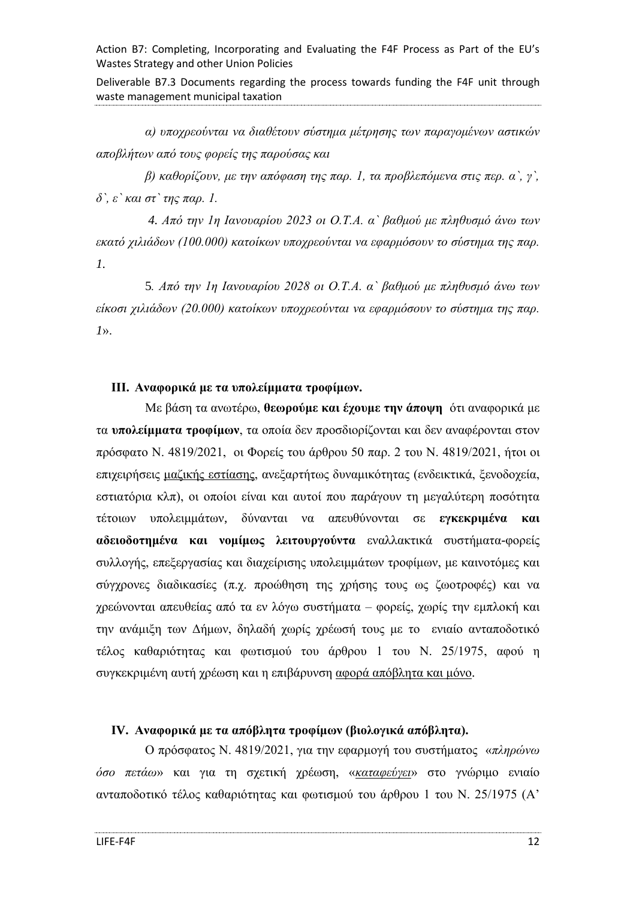Deliverable B7.3 Documents regarding the process towards funding the F4F unit through waste management municipal taxation

*α) υποχρεούνται να διαθέτουν σύστημα μέτρησης των παραγομένων αστικών αποβλήτων από τους φορείς της παρούσας και*

*β) καθορίζουν, με την απόφαση της παρ. 1, τα προβλεπόμενα στις περ. α`, γ`, δ`, ε` και στ` της παρ. 1.*

*4. Από την 1η Ιανουαρίου 2023 οι Ο.Τ.Α. α` βαθμού με πληθυσμό άνω των εκατό χιλιάδων (100.000) κατοίκων υποχρεούνται να εφαρμόσουν το σύστημα της παρ. 1.*

5*. Από την 1η Ιανουαρίου 2028 οι Ο.Τ.Α. α` βαθμού με πληθυσμό άνω των είκοσι χιλιάδων (20.000) κατοίκων υποχρεούνται να εφαρμόσουν το σύστημα της παρ. 1*».

#### <span id="page-11-0"></span>**ΙΙΙ. Αναφορικά με τα υπολείμματα τροφίμων.**

Με βάση τα ανωτέρω, **θεωρούμε και έχουμε την άποψη** ότι αναφορικά με τα **υπολείμματα τροφίμων**, τα οποία δεν προσδιορίζονται και δεν αναφέρονται στον πρόσφατο Ν. 4819/2021, οι Φορείς του άρθρου 50 παρ. 2 του Ν. 4819/2021, ήτοι οι επιχειρήσεις μαζικής εστίασης, ανεξαρτήτως δυναμικότητας (ενδεικτικά, ξενοδοχεία, εστιατόρια κλπ), οι οποίοι είναι και αυτοί που παράγουν τη μεγαλύτερη ποσότητα τέτοιων υπολειμμάτων, δύνανται να απευθύνονται σε **εγκεκριμένα και αδειοδοτημένα και νομίμως λειτουργούντα** εναλλακτικά συστήματα-φορείς συλλογής, επεξεργασίας και διαχείρισης υπολειμμάτων τροφίμων, με καινοτόμες και σύγχρονες διαδικασίες (π.χ. προώθηση της χρήσης τους ως ζωοτροφές) και να χρεώνονται απευθείας από τα εν λόγω συστήματα – φορείς, χωρίς την εμπλοκή και την ανάμιξη των Δήμων, δηλαδή χωρίς χρέωσή τους με το ενιαίο ανταποδοτικό τέλος καθαριότητας και φωτισμού του άρθρου 1 του Ν. 25/1975, αφού η συγκεκριμένη αυτή χρέωση και η επιβάρυνση αφορά απόβλητα και μόνο.

### <span id="page-11-1"></span>**ΙV. Αναφορικά με τα απόβλητα τροφίμων (βιολογικά απόβλητα).**

Ο πρόσφατος Ν. 4819/2021, για την εφαρμογή του συστήματος «*πληρώνω όσο πετάω*» και για τη σχετική χρέωση, «*καταφεύγει*» στο γνώριμο ενιαίο ανταποδοτικό τέλος καθαριότητας και φωτισμού του άρθρου 1 του Ν. 25/1975 (Α'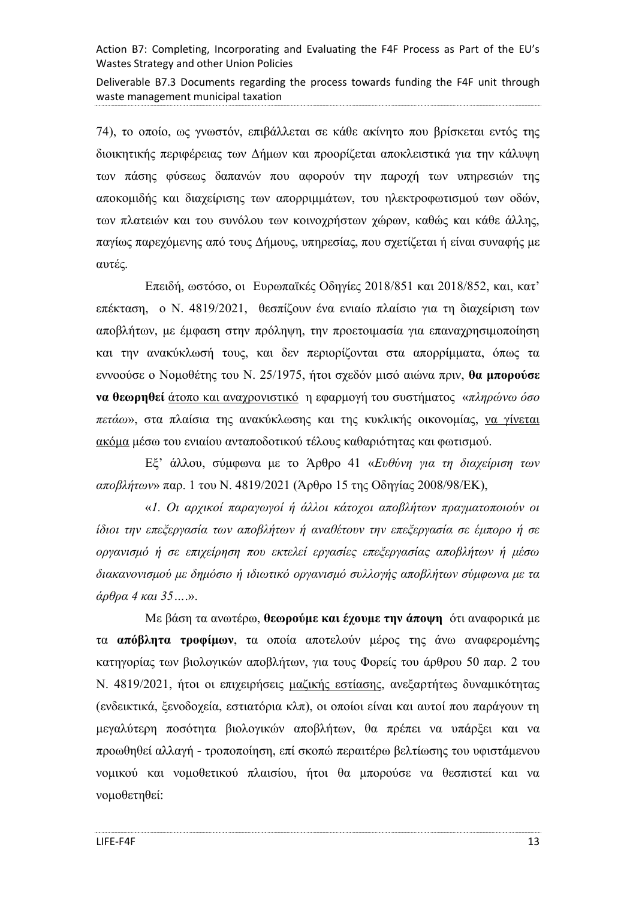Deliverable B7.3 Documents regarding the process towards funding the F4F unit through waste management municipal taxation

74), το οποίο, ως γνωστόν, επιβάλλεται σε κάθε ακίνητο που βρίσκεται εντός της διοικητικής περιφέρειας των Δήμων και προορίζεται αποκλειστικά για την κάλυψη των πάσης φύσεως δαπανών που αφορούν την παροχή των υπηρεσιών της αποκομιδής και διαχείρισης των απορριμμάτων, του ηλεκτροφωτισμού των οδών, των πλατειών και του συνόλου των κοινοχρήστων χώρων, καθώς και κάθε άλλης, παγίως παρεχόμενης από τους Δήμους, υπηρεσίας, που σχετίζεται ή είναι συναφής με αυτές.

Επειδή, ωστόσο, οι Ευρωπαϊκές Οδηγίες 2018/851 και 2018/852, και, κατ' επέκταση, ο Ν. 4819/2021, θεσπίζουν ένα ενιαίο πλαίσιο για τη διαχείριση των αποβλήτων, με έμφαση στην πρόληψη, την προετοιμασία για επαναχρησιμοποίηση και την ανακύκλωσή τους, και δεν περιορίζονται στα απορρίμματα, όπως τα εννοούσε ο Νομοθέτης του Ν. 25/1975, ήτοι σχεδόν μισό αιώνα πριν, **θα μπορούσε να θεωρηθεί** άτοπο και αναχρονιστικό η εφαρμογή του συστήματος «*πληρώνω όσο πετάω*», στα πλαίσια της ανακύκλωσης και της κυκλικής οικονομίας, να γίνεται ακόμα μέσω του ενιαίου ανταποδοτικού τέλους καθαριότητας και φωτισμού.

Εξ' άλλου, σύμφωνα με το Άρθρο 41 «*Ευθύνη για τη διαχείριση των αποβλήτων*» παρ. 1 του Ν. 4819/2021 (Άρθρο 15 της Οδηγίας 2008/98/ΕΚ),

«*1. Οι αρχικοί παραγωγοί ή άλλοι κάτοχοι αποβλήτων πραγματοποιούν οι ίδιοι την επεξεργασία των αποβλήτων ή αναθέτουν την επεξεργασία σε έμπορο ή σε οργανισμό ή σε επιχείρηση που εκτελεί εργασίες επεξεργασίας αποβλήτων ή μέσω διακανονισμού με δημόσιο ή ιδιωτικό οργανισμό συλλογής αποβλήτων σύμφωνα με τα άρθρα 4 και 35…*.».

Με βάση τα ανωτέρω, **θεωρούμε και έχουμε την άποψη** ότι αναφορικά με τα **απόβλητα τροφίμων**, τα οποία αποτελούν μέρος της άνω αναφερομένης κατηγορίας των βιολογικών αποβλήτων, για τους Φορείς του άρθρου 50 παρ. 2 του Ν. 4819/2021, ήτοι οι επιχειρήσεις μαζικής εστίασης, ανεξαρτήτως δυναμικότητας (ενδεικτικά, ξενοδοχεία, εστιατόρια κλπ), οι οποίοι είναι και αυτοί που παράγουν τη μεγαλύτερη ποσότητα βιολογικών αποβλήτων, θα πρέπει να υπάρξει και να προωθηθεί αλλαγή - τροποποίηση, επί σκοπώ περαιτέρω βελτίωσης του υφιστάμενου νομικού και νομοθετικού πλαισίου, ήτοι θα μπορούσε να θεσπιστεί και να νομοθετηθεί: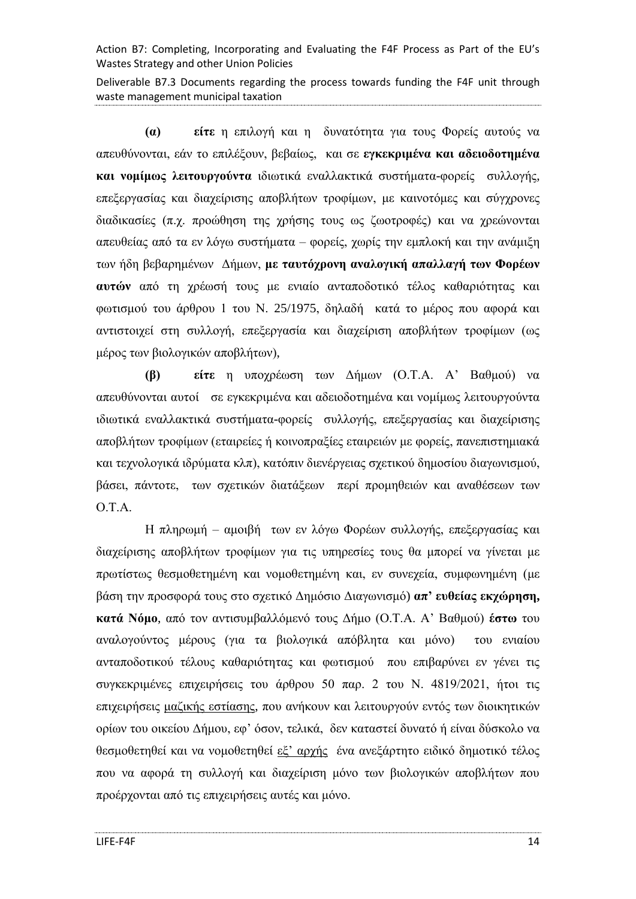Deliverable B7.3 Documents regarding the process towards funding the F4F unit through waste management municipal taxation

**(α) είτε** η επιλογή και η δυνατότητα για τους Φορείς αυτούς να απευθύνονται, εάν το επιλέξουν, βεβαίως, και σε **εγκεκριμένα και αδειοδοτημένα και νομίμως λειτουργούντα** ιδιωτικά εναλλακτικά συστήματα-φορείς συλλογής, επεξεργασίας και διαχείρισης αποβλήτων τροφίμων, με καινοτόμες και σύγχρονες διαδικασίες (π.χ. προώθηση της χρήσης τους ως ζωοτροφές) και να χρεώνονται απευθείας από τα εν λόγω συστήματα – φορείς, χωρίς την εμπλοκή και την ανάμιξη των ήδη βεβαρημένων Δήμων, **με ταυτόχρονη αναλογική απαλλαγή των Φορέων αυτών** από τη χρέωσή τους με ενιαίο ανταποδοτικό τέλος καθαριότητας και φωτισμού του άρθρου 1 του Ν. 25/1975, δηλαδή κατά το μέρος που αφορά και αντιστοιχεί στη συλλογή, επεξεργασία και διαχείριση αποβλήτων τροφίμων (ως μέρος των βιολογικών αποβλήτων),

**(β) είτε** η υποχρέωση των Δήμων (Ο.Τ.Α. Α' Βαθμού) να απευθύνονται αυτοί σε εγκεκριμένα και αδειοδοτημένα και νομίμως λειτουργούντα ιδιωτικά εναλλακτικά συστήματα-φορείς συλλογής, επεξεργασίας και διαχείρισης αποβλήτων τροφίμων (εταιρείες ή κοινοπραξίες εταιρειών με φορείς, πανεπιστημιακά και τεχνολογικά ιδρύματα κλπ), κατόπιν διενέργειας σχετικού δημοσίου διαγωνισμού, βάσει, πάντοτε, των σχετικών διατάξεων περί προμηθειών και αναθέσεων των Ο.Τ.Α.

Η πληρωμή – αμοιβή των εν λόγω Φορέων συλλογής, επεξεργασίας και διαχείρισης αποβλήτων τροφίμων για τις υπηρεσίες τους θα μπορεί να γίνεται με πρωτίστως θεσμοθετημένη και νομοθετημένη και, εν συνεχεία, συμφωνημένη (με βάση την προσφορά τους στο σχετικό Δημόσιο Διαγωνισμό) **απ' ευθείας εκχώρηση, κατά Νόμο**, από τον αντισυμβαλλόμενό τους Δήμο (Ο.Τ.Α. Α' Βαθμού) **έστω** του αναλογούντος μέρους (για τα βιολογικά απόβλητα και μόνο) του ενιαίου ανταποδοτικού τέλους καθαριότητας και φωτισμού που επιβαρύνει εν γένει τις συγκεκριμένες επιχειρήσεις του άρθρου 50 παρ. 2 του Ν. 4819/2021, ήτοι τις επιχειρήσεις μαζικής εστίασης, που ανήκουν και λειτουργούν εντός των διοικητικών ορίων του οικείου Δήμου, εφ' όσον, τελικά, δεν καταστεί δυνατό ή είναι δύσκολο να θεσμοθετηθεί και να νομοθετηθεί εξ' αρχής ένα ανεξάρτητο ειδικό δημοτικό τέλος που να αφορά τη συλλογή και διαχείριση μόνο των βιολογικών αποβλήτων που προέρχονται από τις επιχειρήσεις αυτές και μόνο.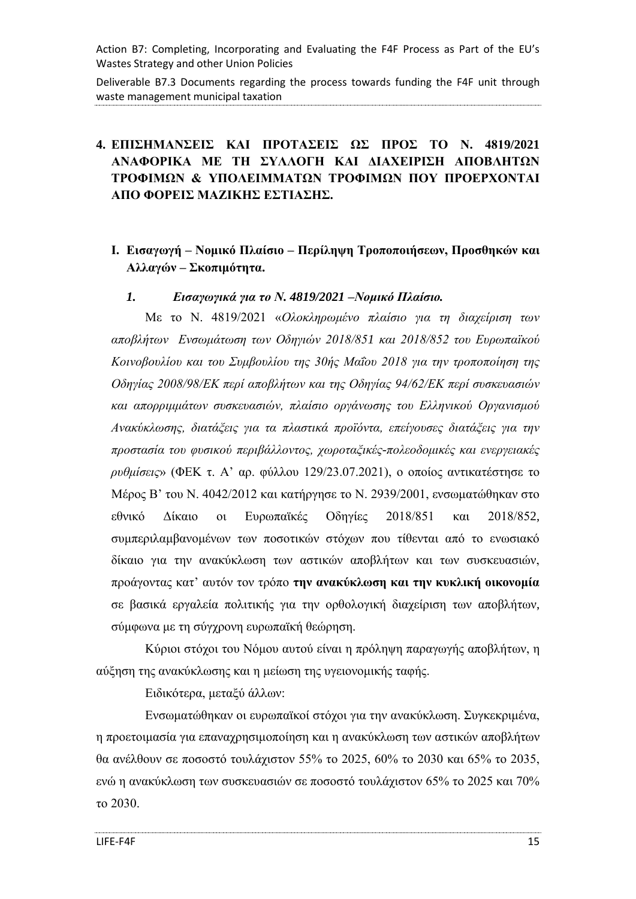Deliverable B7.3 Documents regarding the process towards funding the F4F unit through waste management municipal taxation

# <span id="page-14-0"></span>**4. ΕΠΙΣΗΜΑΝΣΕΙΣ ΚΑΙ ΠΡΟΤΑΣΕΙΣ ΩΣ ΠΡΟΣ ΤΟ Ν. 4819/2021 ΑΝΑΦΟΡΙΚΑ ΜΕ ΤΗ ΣΥΛΛΟΓΗ ΚΑΙ ΔΙΑΧΕΙΡΙΣΗ ΑΠΟΒΛΗΤΩΝ ΤΡΟΦΙΜΩΝ & ΥΠΟΛΕΙΜΜΑΤΩΝ ΤΡΟΦΙΜΩΝ ΠΟΥ ΠΡΟΕΡΧΟΝΤΑΙ ΑΠΟ ΦΟΡΕΙΣ ΜΑΖΙΚΗΣ ΕΣΤΙΑΣΗΣ.**

### <span id="page-14-1"></span>**Ι. Εισαγωγή – Νομικό Πλαίσιο – Περίληψη Τροποποιήσεων, Προσθηκών και Αλλαγών – Σκοπιμότητα.**

#### <span id="page-14-2"></span>*1. Εισαγωγικά για το Ν. 4819/2021 –Νομικό Πλαίσιο.*

Με το Ν. 4819/2021 «*Ολοκληρωμένο πλαίσιο για τη διαχείριση των αποβλήτων Ενσωμάτωση των Οδηγιών 2018/851 και 2018/852 του Ευρωπαϊκού Κοινοβουλίου και του Συμβουλίου της 30ής Μαΐου 2018 για την τροποποίηση της Οδηγίας 2008/98/ΕΚ περί αποβλήτων και της Οδηγίας 94/62/ΕΚ περί συσκευασιών και απορριμμάτων συσκευασιών, πλαίσιο οργάνωσης του Ελληνικού Οργανισμού Ανακύκλωσης, διατάξεις για τα πλαστικά προϊόντα, επείγουσες διατάξεις για την προστασία του φυσικού περιβάλλοντος, χωροταξικές-πολεοδομικές και ενεργειακές ρυθμίσεις*» (ΦΕΚ τ. Α' αρ. φύλλου 129/23.07.2021), ο οποίος αντικατέστησε το Μέρος Β' του Ν. 4042/2012 και κατήργησε το Ν. 2939/2001, ενσωματώθηκαν στο εθνικό Δίκαιο οι Ευρωπαϊκές Οδηγίες 2018/851 και 2018/852, συμπεριλαμβανομένων των ποσοτικών στόχων που τίθενται από το ενωσιακό δίκαιο για την ανακύκλωση των αστικών αποβλήτων και των συσκευασιών, προάγοντας κατ' αυτόν τον τρόπο **την ανακύκλωση και την κυκλική οικονομία** σε βασικά εργαλεία πολιτικής για την ορθολογική διαχείριση των αποβλήτων, σύμφωνα με τη σύγχρονη ευρωπαϊκή θεώρηση.

Κύριοι στόχοι του Νόμου αυτού είναι η πρόληψη παραγωγής αποβλήτων, η αύξηση της ανακύκλωσης και η μείωση της υγειονομικής ταφής.

Ειδικότερα, μεταξύ άλλων:

Ενσωματώθηκαν οι ευρωπαϊκοί στόχοι για την ανακύκλωση. Συγκεκριμένα, η προετοιμασία για επαναχρησιμοποίηση και η ανακύκλωση των αστικών αποβλήτων θα ανέλθουν σε ποσοστό τουλάχιστον 55% το 2025, 60% το 2030 και 65% το 2035, ενώ η ανακύκλωση των συσκευασιών σε ποσοστό τουλάχιστον 65% το 2025 και 70% το 2030.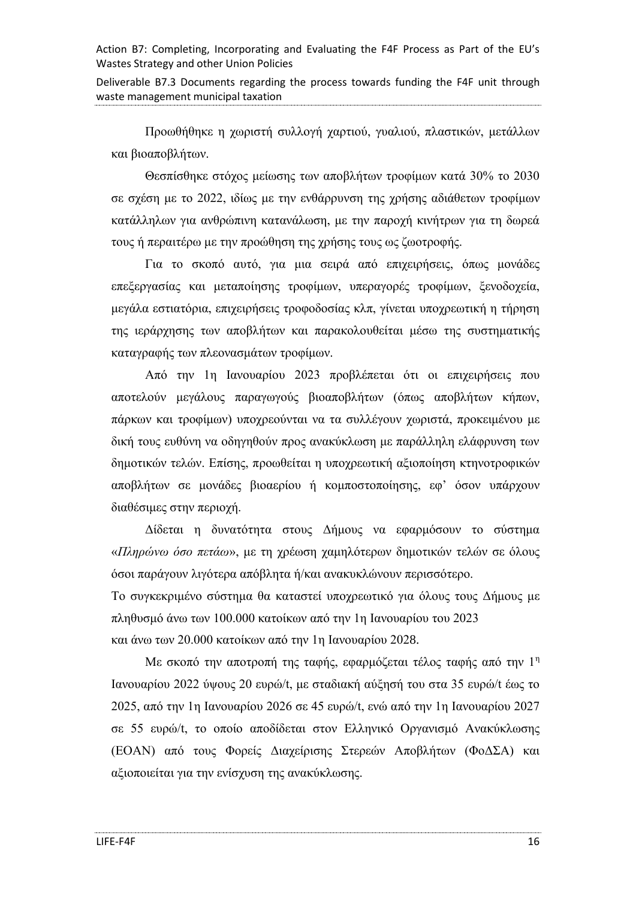Deliverable B7.3 Documents regarding the process towards funding the F4F unit through waste management municipal taxation

Προωθήθηκε η χωριστή συλλογή χαρτιού, γυαλιού, πλαστικών, μετάλλων και βιοαποβλήτων.

Θεσπίσθηκε στόχος μείωσης των αποβλήτων τροφίμων κατά 30% το 2030 σε σχέση με το 2022, ιδίως με την ενθάρρυνση της χρήσης αδιάθετων τροφίμων κατάλληλων για ανθρώπινη κατανάλωση, με την παροχή κινήτρων για τη δωρεά τους ή περαιτέρω με την προώθηση της χρήσης τους ως ζωοτροφής.

Για το σκοπό αυτό, για μια σειρά από επιχειρήσεις, όπως μονάδες επεξεργασίας και μεταποίησης τροφίμων, υπεραγορές τροφίμων, ξενοδοχεία, μεγάλα εστιατόρια, επιχειρήσεις τροφοδοσίας κλπ, γίνεται υποχρεωτική η τήρηση της ιεράρχησης των αποβλήτων και παρακολουθείται μέσω της συστηματικής καταγραφής των πλεονασμάτων τροφίμων.

Από την 1η Ιανουαρίου 2023 προβλέπεται ότι οι επιχειρήσεις που αποτελούν μεγάλους παραγωγούς βιοαποβλήτων (όπως αποβλήτων κήπων, πάρκων και τροφίμων) υποχρεούνται να τα συλλέγουν χωριστά, προκειμένου με δική τους ευθύνη να οδηγηθούν προς ανακύκλωση με παράλληλη ελάφρυνση των δημοτικών τελών. Επίσης, προωθείται η υποχρεωτική αξιοποίηση κτηνοτροφικών αποβλήτων σε μονάδες βιοαερίου ή κομποστοποίησης, εφ' όσον υπάρχουν διαθέσιμες στην περιοχή.

Δίδεται η δυνατότητα στους Δήμους να εφαρμόσουν το σύστημα «*Πληρώνω όσο πετάω*», με τη χρέωση χαμηλότερων δημοτικών τελών σε όλους όσοι παράγουν λιγότερα απόβλητα ή/και ανακυκλώνουν περισσότερο.

Το συγκεκριμένο σύστημα θα καταστεί υποχρεωτικό για όλους τους Δήμους με πληθυσμό άνω των 100.000 κατοίκων από την 1η Ιανουαρίου του 2023 και άνω των 20.000 κατοίκων από την 1η Ιανουαρίου 2028.

Με σκοπό την αποτροπή της ταφής, εφαρμόζεται τέλος ταφής από την 1<sup>η</sup> Ιανουαρίου 2022 ύψους 20 ευρώ/t, με σταδιακή αύξησή του στα 35 ευρώ/t έως το 2025, από την 1η Ιανουαρίου 2026 σε 45 ευρώ/t, ενώ από την 1η Ιανουαρίου 2027 σε 55 ευρώ/t, το οποίο αποδίδεται στον Ελληνικό Οργανισμό Ανακύκλωσης (ΕΟΑΝ) από τους Φορείς Διαχείρισης Στερεών Αποβλήτων (ΦοΔΣΑ) και αξιοποιείται για την ενίσχυση της ανακύκλωσης.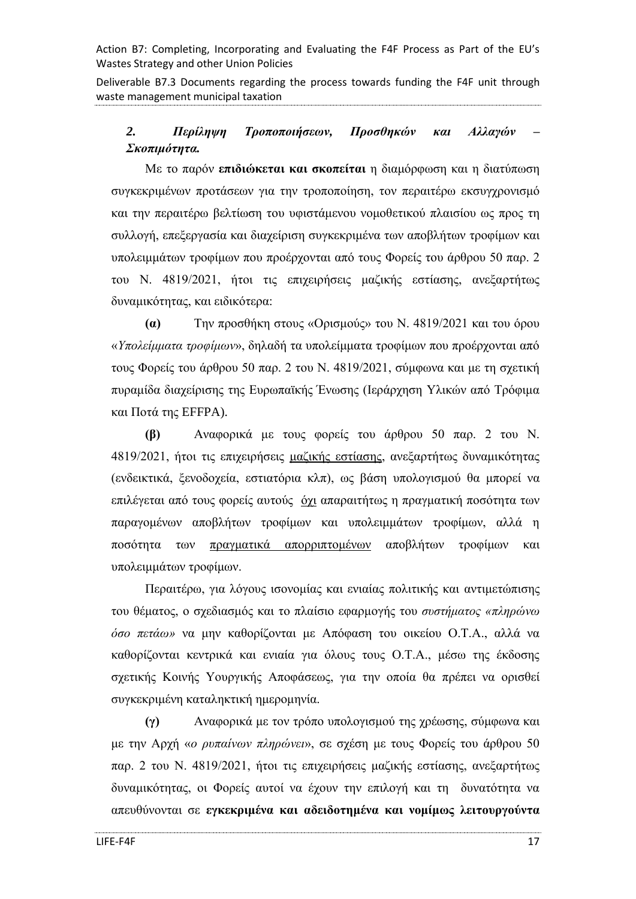Deliverable B7.3 Documents regarding the process towards funding the F4F unit through waste management municipal taxation

# <span id="page-16-0"></span>*2. Περίληψη Τροποποιήσεων, Προσθηκών και Αλλαγών – Σκοπιμότητα.*

Με το παρόν **επιδιώκεται και σκοπείται** η διαμόρφωση και η διατύπωση συγκεκριμένων προτάσεων για την τροποποίηση, τον περαιτέρω εκσυγχρονισμό και την περαιτέρω βελτίωση του υφιστάμενου νομοθετικού πλαισίου ως προς τη συλλογή, επεξεργασία και διαχείριση συγκεκριμένα των αποβλήτων τροφίμων και υπολειμμάτων τροφίμων που προέρχονται από τους Φορείς του άρθρου 50 παρ. 2 του Ν. 4819/2021, ήτοι τις επιχειρήσεις μαζικής εστίασης, ανεξαρτήτως δυναμικότητας, και ειδικότερα:

**(α)** Την προσθήκη στους «Ορισμούς» του Ν. 4819/2021 και του όρου «*Υπολείμματα τροφίμων*», δηλαδή τα υπολείμματα τροφίμων που προέρχονται από τους Φορείς του άρθρου 50 παρ. 2 του Ν. 4819/2021, σύμφωνα και με τη σχετική πυραμίδα διαχείρισης της Ευρωπαϊκής Ένωσης (Ιεράρχηση Υλικών από Τρόφιμα και Ποτά της EFFPA).

**(β)** Αναφορικά με τους φορείς του άρθρου 50 παρ. 2 του Ν. 4819/2021, ήτοι τις επιχειρήσεις μαζικής εστίασης, ανεξαρτήτως δυναμικότητας (ενδεικτικά, ξενοδοχεία, εστιατόρια κλπ), ως βάση υπολογισμού θα μπορεί να επιλέγεται από τους φορείς αυτούς όχι απαραιτήτως η πραγματική ποσότητα των παραγομένων αποβλήτων τροφίμων και υπολειμμάτων τροφίμων, αλλά η ποσότητα των πραγματικά απορριπτομένων αποβλήτων τροφίμων και υπολειμμάτων τροφίμων.

Περαιτέρω, για λόγους ισονομίας και ενιαίας πολιτικής και αντιμετώπισης του θέματος, ο σχεδιασμός και το πλαίσιο εφαρμογής του *συστήματος «πληρώνω όσο πετάω»* να μην καθορίζονται με Απόφαση του οικείου Ο.Τ.Α., αλλά να καθορίζονται κεντρικά και ενιαία για όλους τους Ο.Τ.Α., μέσω της έκδοσης σχετικής Κοινής Υουργικής Αποφάσεως, για την οποία θα πρέπει να ορισθεί συγκεκριμένη καταληκτική ημερομηνία.

**(γ)** Αναφορικά με τον τρόπο υπολογισμού της χρέωσης, σύμφωνα και με την Αρχή «*ο ρυπαίνων πληρώνει*», σε σχέση με τους Φορείς του άρθρου 50 παρ. 2 του Ν. 4819/2021, ήτοι τις επιχειρήσεις μαζικής εστίασης, ανεξαρτήτως δυναμικότητας, οι Φορείς αυτοί να έχουν την επιλογή και τη δυνατότητα να απευθύνονται σε **εγκεκριμένα και αδειδοτημένα και νομίμως λειτουργούντα**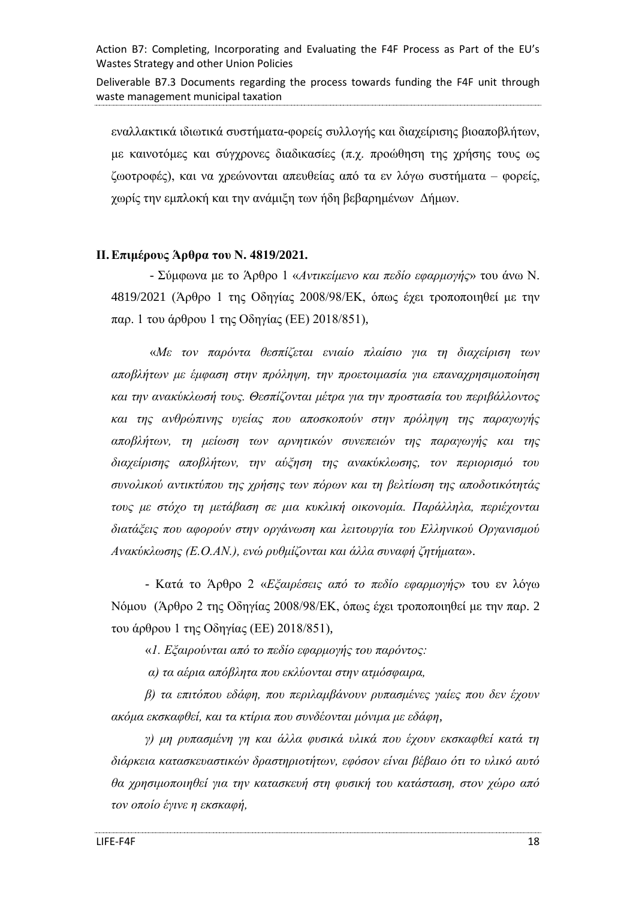Deliverable B7.3 Documents regarding the process towards funding the F4F unit through waste management municipal taxation

εναλλακτικά ιδιωτικά συστήματα-φορείς συλλογής και διαχείρισης βιοαποβλήτων, με καινοτόμες και σύγχρονες διαδικασίες (π.χ. προώθηση της χρήσης τους ως ζωοτροφές), και να χρεώνονται απευθείας από τα εν λόγω συστήματα – φορείς, χωρίς την εμπλοκή και την ανάμιξη των ήδη βεβαρημένων Δήμων.

#### <span id="page-17-0"></span>**ΙΙ.Επιμέρους Άρθρα του Ν. 4819/2021.**

- Σύμφωνα με το Άρθρο 1 «*Αντικείμενο και πεδίο εφαρμογής*» του άνω Ν. 4819/2021 (Άρθρο 1 της Οδηγίας 2008/98/ΕΚ, όπως έχει τροποποιηθεί με την παρ. 1 του άρθρου 1 της Οδηγίας (ΕΕ) 2018/851),

«*Με τον παρόντα θεσπίζεται ενιαίο πλαίσιο για τη διαχείριση των αποβλήτων με έμφαση στην πρόληψη, την προετοιμασία για επαναχρησιμοποίηση και την ανακύκλωσή τους. Θεσπίζονται μέτρα για την προστασία του περιβάλλοντος και της ανθρώπινης υγείας που αποσκοπούν στην πρόληψη της παραγωγής αποβλήτων, τη μείωση των αρνητικών συνεπειών της παραγωγής και της διαχείρισης αποβλήτων, την αύξηση της ανακύκλωσης, τον περιορισμό του συνολικού αντικτύπου της χρήσης των πόρων και τη βελτίωση της αποδοτικότητάς τους με στόχο τη μετάβαση σε μια κυκλική οικονομία. Παράλληλα, περιέχονται διατάξεις που αφορούν στην οργάνωση και λειτουργία του Ελληνικού Οργανισμού Ανακύκλωσης (Ε.Ο.ΑΝ.), ενώ ρυθμίζονται και άλλα συναφή ζητήματα*».

- Κατά το Άρθρο 2 «*Εξαιρέσεις από το πεδίο εφαρμογής*» του εν λόγω Νόμου (Άρθρο 2 της Οδηγίας 2008/98/ΕΚ, όπως έχει τροποποιηθεί με την παρ. 2 του άρθρου 1 της Οδηγίας (ΕΕ) 2018/851),

«*1. Εξαιρούνται από το πεδίο εφαρμογής του παρόντος:*

*α) τα αέρια απόβλητα που εκλύονται στην ατμόσφαιρα,*

*β) τα επιτόπου εδάφη, που περιλαμβάνουν ρυπασμένες γαίες που δεν έχουν ακόμα εκσκαφθεί, και τα κτίρια που συνδέονται μόνιμα με εδάφη,*

*γ) μη ρυπασμένη γη και άλλα φυσικά υλικά που έχουν εκσκαφθεί κατά τη διάρκεια κατασκευαστικών δραστηριοτήτων, εφόσον είναι βέβαιο ότι το υλικό αυτό θα χρησιμοποιηθεί για την κατασκευή στη φυσική του κατάσταση, στον χώρο από τον οποίο έγινε η εκσκαφή,*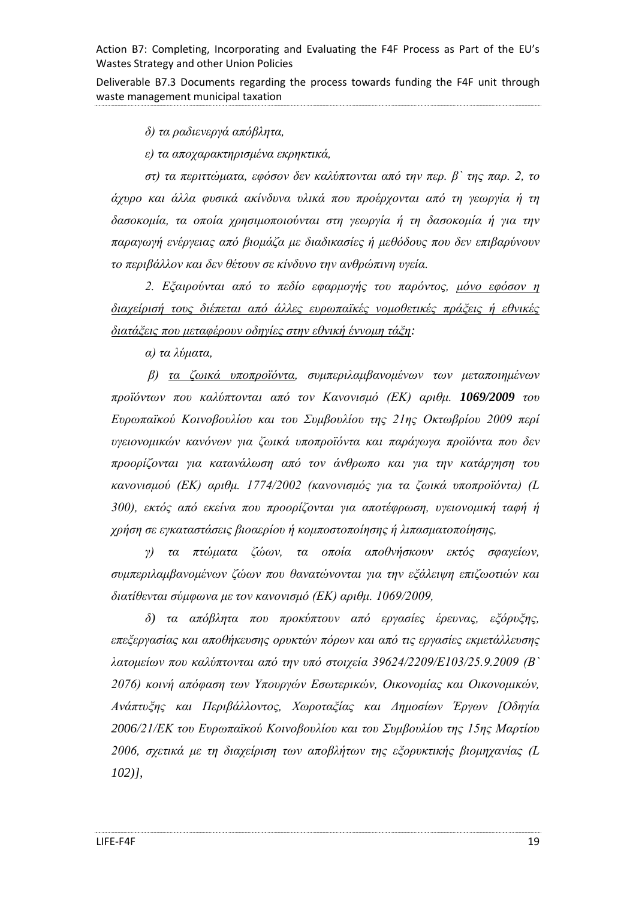Deliverable B7.3 Documents regarding the process towards funding the F4F unit through waste management municipal taxation

*δ) τα ραδιενεργά απόβλητα,*

*ε) τα αποχαρακτηρισμένα εκρηκτικά,*

*στ) τα περιττώματα, εφόσον δεν καλύπτονται από την περ. β` της παρ. 2, το άχυρο και άλλα φυσικά ακίνδυνα υλικά που προέρχονται από τη γεωργία ή τη δασοκομία, τα οποία χρησιμοποιούνται στη γεωργία ή τη δασοκομία ή για την παραγωγή ενέργειας από βιομάζα με διαδικασίες ή μεθόδους που δεν επιβαρύνουν το περιβάλλον και δεν θέτουν σε κίνδυνο την ανθρώπινη υγεία.*

*2. Εξαιρούνται από το πεδίο εφαρμογής του παρόντος, μόνο εφόσον η διαχείρισή τους διέπεται από άλλες ευρωπαϊκές νομοθετικές πράξεις ή εθνικές διατάξεις που μεταφέρουν οδηγίες στην εθνική έννομη τάξη:*

*α) τα λύματα,*

*β) τα ζωικά υποπροϊόντα, συμπεριλαμβανομένων των μεταποιημένων προϊόντων που καλύπτονται από τον Κανονισμό (ΕΚ) αριθμ. 1069/2009 του Ευρωπαϊκού Κοινοβουλίου και του Συμβουλίου της 21ης Οκτωβρίου 2009 περί υγειονομικών κανόνων για ζωικά υποπροϊόντα και παράγωγα προϊόντα που δεν προορίζονται για κατανάλωση από τον άνθρωπο και για την κατάργηση του κανονισμού (ΕΚ) αριθμ. 1774/2002 (κανονισμός για τα ζωικά υποπροϊόντα) (L 300), εκτός από εκείνα που προορίζονται για αποτέφρωση, υγειονομική ταφή ή χρήση σε εγκαταστάσεις βιοαερίου ή κομποστοποίησης ή λιπασματοποίησης,*

*γ) τα πτώματα ζώων, τα οποία αποθνήσκουν εκτός σφαγείων, συμπεριλαμβανομένων ζώων που θανατώνονται για την εξάλειψη επιζωοτιών και διατίθενται σύμφωνα με τον κανονισμό (ΕΚ) αριθμ. 1069/2009,*

*δ) τα απόβλητα που προκύπτουν από εργασίες έρευνας, εξόρυξης, επεξεργασίας και αποθήκευσης ορυκτών πόρων και από τις εργασίες εκμετάλλευσης λατομείων που καλύπτονται από την υπό στοιχεία 39624/2209/Ε103/25.9.2009 (Β` 2076) κοινή απόφαση των Υπουργών Εσωτερικών, Οικονομίας και Οικονομικών, Ανάπτυξης και Περιβάλλοντος, Χωροταξίας και Δημοσίων Έργων [Οδηγία 2006/21/ΕΚ του Ευρωπαϊκού Κοινοβουλίου και του Συμβουλίου της 15ης Μαρτίου 2006, σχετικά με τη διαχείριση των αποβλήτων της εξορυκτικής βιομηχανίας (L 102)],*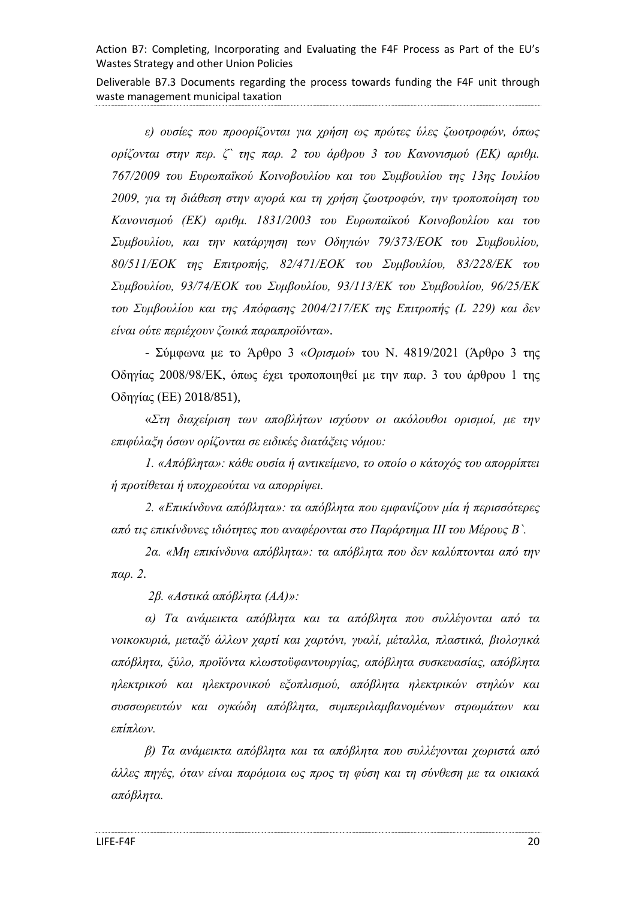Deliverable B7.3 Documents regarding the process towards funding the F4F unit through waste management municipal taxation

*ε) ουσίες που προορίζονται για χρήση ως πρώτες ύλες ζωοτροφών, όπως ορίζονται στην περ. ζ` της παρ. 2 του άρθρου 3 του Κανονισμού (ΕΚ) αριθμ. 767/2009 του Ευρωπαϊκού Κοινοβουλίου και του Συμβουλίου της 13ης Ιουλίου 2009, για τη διάθεση στην αγορά και τη χρήση ζωοτροφών, την τροποποίηση του Κανονισμού (ΕΚ) αριθμ. 1831/2003 του Ευρωπαϊκού Κοινοβουλίου και του Συμβουλίου, και την κατάργηση των Οδηγιών 79/373/ΕΟΚ του Συμβουλίου, 80/511/ΕΟΚ της Επιτροπής, 82/471/ΕΟΚ του Συμβουλίου, 83/228/ΕΚ του Συμβουλίου, 93/74/ΕΟΚ του Συμβουλίου, 93/113/ΕΚ του Συμβουλίου, 96/25/ΕΚ του Συμβουλίου και της Απόφασης 2004/217/ΕΚ της Επιτροπής (L 229) και δεν είναι ούτε περιέχουν ζωικά παραπροϊόντα*».

- Σύμφωνα με το Άρθρο 3 «*Ορισμοί*» του Ν. 4819/2021 (Άρθρο 3 της Οδηγίας 2008/98/ΕΚ, όπως έχει τροποποιηθεί με την παρ. 3 του άρθρου 1 της Οδηγίας (ΕΕ) 2018/851),

«*Στη διαχείριση των αποβλήτων ισχύουν οι ακόλουθοι ορισμοί, με την επιφύλαξη όσων ορίζονται σε ειδικές διατάξεις νόμου:*

*1. «Απόβλητα»: κάθε ουσία ή αντικείμενο, το οποίο ο κάτοχός του απορρίπτει ή προτίθεται ή υποχρεούται να απορρίψει.*

*2. «Επικίνδυνα απόβλητα»: τα απόβλητα που εμφανίζουν μία ή περισσότερες από τις επικίνδυνες ιδιότητες που αναφέρονται στο Παράρτημα III του Μέρους Β`.*

*2α. «Μη επικίνδυνα απόβλητα»: τα απόβλητα που δεν καλύπτονται από την παρ. 2.*

*2β. «Αστικά απόβλητα (ΑΑ)»:*

*α) Τα ανάμεικτα απόβλητα και τα απόβλητα που συλλέγονται από τα νοικοκυριά, μεταξύ άλλων χαρτί και χαρτόνι, γυαλί, μέταλλα, πλαστικά, βιολογικά απόβλητα, ξύλο, προϊόντα κλωστοϋφαντουργίας, απόβλητα συσκευασίας, απόβλητα ηλεκτρικού και ηλεκτρονικού εξοπλισμού, απόβλητα ηλεκτρικών στηλών και συσσωρευτών και ογκώδη απόβλητα, συμπεριλαμβανομένων στρωμάτων και επίπλων.*

*β) Τα ανάμεικτα απόβλητα και τα απόβλητα που συλλέγονται χωριστά από άλλες πηγές, όταν είναι παρόμοια ως προς τη φύση και τη σύνθεση με τα οικιακά απόβλητα.*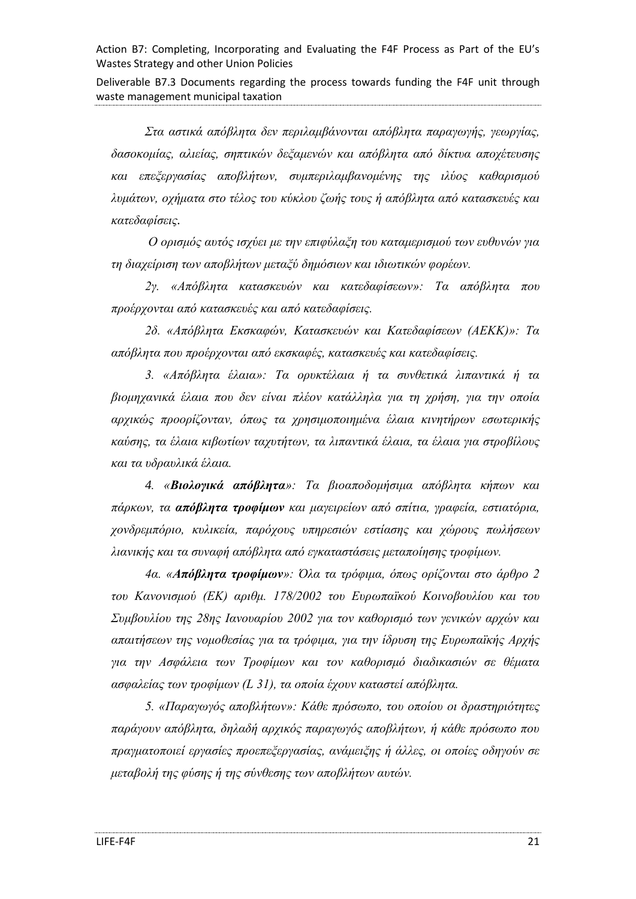Deliverable B7.3 Documents regarding the process towards funding the F4F unit through waste management municipal taxation

*Στα αστικά απόβλητα δεν περιλαμβάνονται απόβλητα παραγωγής, γεωργίας, δασοκομίας, αλιείας, σηπτικών δεξαμενών και απόβλητα από δίκτυα αποχέτευσης και επεξεργασίας αποβλήτων, συμπεριλαμβανομένης της ιλύος καθαρισμού λυμάτων, οχήματα στο τέλος του κύκλου ζωής τους ή απόβλητα από κατασκευές και κατεδαφίσεις.*

*Ο ορισμός αυτός ισχύει με την επιφύλαξη του καταμερισμού των ευθυνών για τη διαχείριση των αποβλήτων μεταξύ δημόσιων και ιδιωτικών φορέων.*

*2γ. «Απόβλητα κατασκευών και κατεδαφίσεων»: Τα απόβλητα που προέρχονται από κατασκευές και από κατεδαφίσεις.*

*2δ. «Απόβλητα Εκσκαφών, Κατασκευών και Κατεδαφίσεων (ΑΕΚΚ)»: Τα απόβλητα που προέρχονται από εκσκαφές, κατασκευές και κατεδαφίσεις.*

*3. «Απόβλητα έλαια»: Τα ορυκτέλαια ή τα συνθετικά λιπαντικά ή τα βιομηχανικά έλαια που δεν είναι πλέον κατάλληλα για τη χρήση, για την οποία αρχικώς προορίζονταν, όπως τα χρησιμοποιημένα έλαια κινητήρων εσωτερικής καύσης, τα έλαια κιβωτίων ταχυτήτων, τα λιπαντικά έλαια, τα έλαια για στροβίλους και τα υδραυλικά έλαια.*

*4. «Βιολογικά απόβλητα»: Τα βιοαποδομήσιμα απόβλητα κήπων και πάρκων, τα απόβλητα τροφίμων και μαγειρείων από σπίτια, γραφεία, εστιατόρια, χονδρεμπόριο, κυλικεία, παρόχους υπηρεσιών εστίασης και χώρους πωλήσεων λιανικής και τα συναφή απόβλητα από εγκαταστάσεις μεταποίησης τροφίμων.*

*4α. «Απόβλητα τροφίμων»: Όλα τα τρόφιμα, όπως ορίζονται στο άρθρο 2 του Κανονισμού (ΕΚ) αριθμ. 178/2002 του Ευρωπαϊκού Κοινοβουλίου και του Συμβουλίου της 28ης Ιανουαρίου 2002 για τον καθορισμό των γενικών αρχών και απαιτήσεων της νομοθεσίας για τα τρόφιμα, για την ίδρυση της Ευρωπαϊκής Αρχής για την Ασφάλεια των Τροφίμων και τον καθορισμό διαδικασιών σε θέματα ασφαλείας των τροφίμων (L 31), τα οποία έχουν καταστεί απόβλητα.*

*5. «Παραγωγός αποβλήτων»: Κάθε πρόσωπο, του οποίου οι δραστηριότητες παράγουν απόβλητα, δηλαδή αρχικός παραγωγός αποβλήτων, ή κάθε πρόσωπο που πραγματοποιεί εργασίες προεπεξεργασίας, ανάμειξης ή άλλες, οι οποίες οδηγούν σε μεταβολή της φύσης ή της σύνθεσης των αποβλήτων αυτών.*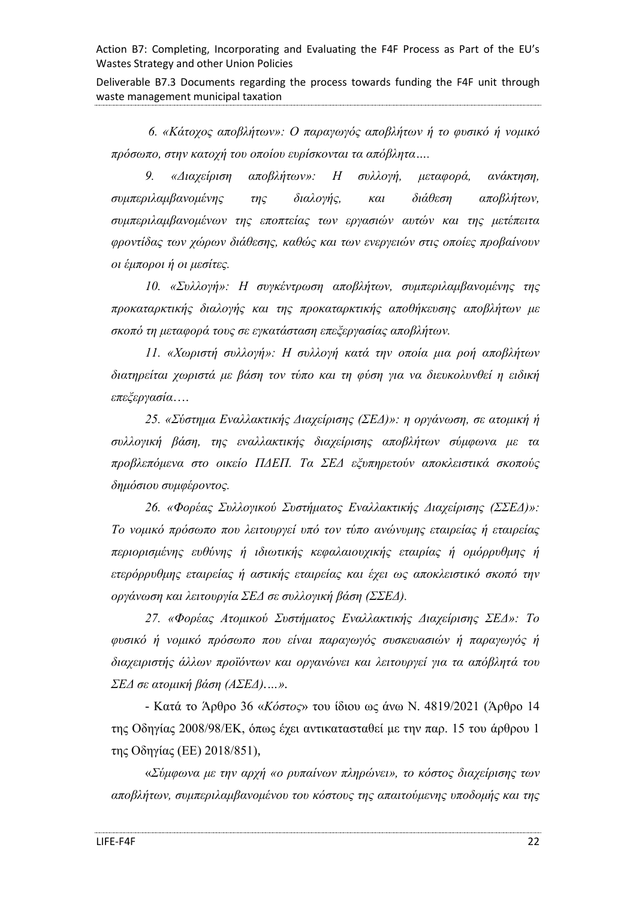Deliverable B7.3 Documents regarding the process towards funding the F4F unit through waste management municipal taxation

*6. «Κάτοχος αποβλήτων»: Ο παραγωγός αποβλήτων ή το φυσικό ή νομικό πρόσωπο, στην κατοχή του οποίου ευρίσκονται τα απόβλητα….*

*9. «Διαχείριση αποβλήτων»: Η συλλογή, μεταφορά, ανάκτηση, συμπεριλαμβανομένης της διαλογής, και διάθεση αποβλήτων, συμπεριλαμβανομένων της εποπτείας των εργασιών αυτών και της μετέπειτα φροντίδας των χώρων διάθεσης, καθώς και των ενεργειών στις οποίες προβαίνουν οι έμποροι ή οι μεσίτες.*

*10. «Συλλογή»: Η συγκέντρωση αποβλήτων, συμπεριλαμβανομένης της προκαταρκτικής διαλογής και της προκαταρκτικής αποθήκευσης αποβλήτων με σκοπό τη μεταφορά τους σε εγκατάσταση επεξεργασίας αποβλήτων.*

*11. «Χωριστή συλλογή»: Η συλλογή κατά την οποία μια ροή αποβλήτων διατηρείται χωριστά με βάση τον τύπο και τη φύση για να διευκολυνθεί η ειδική επεξεργασία*….

*25. «Σύστημα Εναλλακτικής Διαχείρισης (ΣΕΔ)»: η οργάνωση, σε ατομική ή συλλογική βάση, της εναλλακτικής διαχείρισης αποβλήτων σύμφωνα με τα προβλεπόμενα στο οικείο ΠΔΕΠ. Τα ΣΕΔ εξυπηρετούν αποκλειστικά σκοπούς δημόσιου συμφέροντος.*

*26. «Φορέας Συλλογικού Συστήματος Εναλλακτικής Διαχείρισης (ΣΣΕΔ)»: Το νομικό πρόσωπο που λειτουργεί υπό τον τύπο ανώνυμης εταιρείας ή εταιρείας περιορισμένης ευθύνης ή ιδιωτικής κεφαλαιουχικής εταιρίας ή ομόρρυθμης ή ετερόρρυθμης εταιρείας ή αστικής εταιρείας και έχει ως αποκλειστικό σκοπό την οργάνωση και λειτουργία ΣΕΔ σε συλλογική βάση (ΣΣΕΔ).*

*27. «Φορέας Ατομικού Συστήματος Εναλλακτικής Διαχείρισης ΣΕΔ»: Το φυσικό ή νομικό πρόσωπο που είναι παραγωγός συσκευασιών ή παραγωγός ή διαχειριστής άλλων προϊόντων και οργανώνει και λειτουργεί για τα απόβλητά του ΣΕΔ σε ατομική βάση (ΑΣΕΔ).…».*

- Κατά το Άρθρο 36 «*Κόστος*» του ίδιου ως άνω Ν. 4819/2021 (Άρθρο 14 της Οδηγίας 2008/98/ΕΚ, όπως έχει αντικατασταθεί με την παρ. 15 του άρθρου 1 της Οδηγίας (ΕΕ) 2018/851),

«*Σύμφωνα με την αρχή «ο ρυπαίνων πληρώνει», το κόστος διαχείρισης των αποβλήτων, συμπεριλαμβανομένου του κόστους της απαιτούμενης υποδομής και της*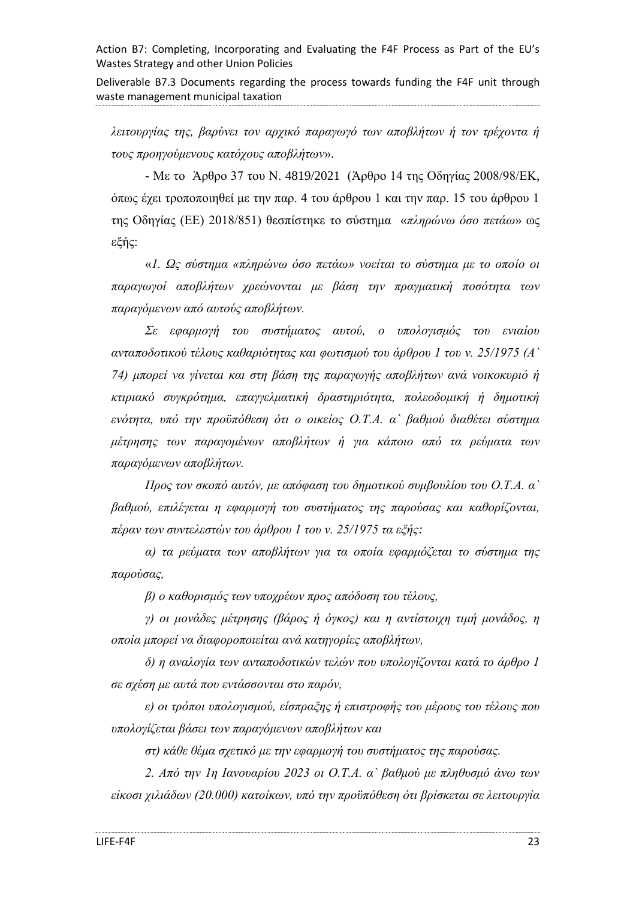Deliverable B7.3 Documents regarding the process towards funding the F4F unit through waste management municipal taxation

*λειτουργίας της, βαρύνει τον αρχικό παραγωγό των αποβλήτων ή τον τρέχοντα ή τους προηγούμενους κατόχους αποβλήτων*».

- Με το Άρθρο 37 του Ν. 4819/2021 (Άρθρο 14 της Οδηγίας 2008/98/ΕΚ, όπως έχει τροποποιηθεί με την παρ. 4 του άρθρου 1 και την παρ. 15 του άρθρου 1 της Οδηγίας (ΕΕ) 2018/851) θεσπίστηκε το σύστημα «*πληρώνω όσο πετάω*» ως εξής:

«*1. Ως σύστημα «πληρώνω όσο πετάω» νοείται το σύστημα με το οποίο οι παραγωγοί αποβλήτων χρεώνονται με βάση την πραγματική ποσότητα των παραγόμενων από αυτούς αποβλήτων.*

*Σε εφαρμογή του συστήματος αυτού, ο υπολογισμός του ενιαίου ανταποδοτικού τέλους καθαριότητας και φωτισμού του άρθρου 1 του ν. 25/1975 (Α` 74) μπορεί να γίνεται και στη βάση της παραγωγής αποβλήτων ανά νοικοκυριό ή κτιριακό συγκρότημα, επαγγελματική δραστηριότητα, πολεοδομική ή δημοτική ενότητα, υπό την προϋπόθεση ότι ο οικείος Ο.Τ.Α. α` βαθμού διαθέτει σύστημα μέτρησης των παραγομένων αποβλήτων ή για κάποιο από τα ρεύματα των παραγόμενων αποβλήτων.*

*Προς τον σκοπό αυτόν, με απόφαση του δημοτικού συμβουλίου του Ο.Τ.Α. α` βαθμού, επιλέγεται η εφαρμογή του συστήματος της παρούσας και καθορίζονται, πέραν των συντελεστών του άρθρου 1 του ν. 25/1975 τα εξής:*

*α) τα ρεύματα των αποβλήτων για τα οποία εφαρμόζεται το σύστημα της παρούσας,*

*β) ο καθορισμός των υποχρέων προς απόδοση του τέλους,*

*γ) οι μονάδες μέτρησης (βάρος ή όγκος) και η αντίστοιχη τιμή μονάδος, η οποία μπορεί να διαφοροποιείται ανά κατηγορίες αποβλήτων,*

*δ) η αναλογία των ανταποδοτικών τελών που υπολογίζονται κατά το άρθρο 1 σε σχέση με αυτά που εντάσσονται στο παρόν,*

*ε) οι τρόποι υπολογισμού, είσπραξης ή επιστροφής του μέρους του τέλους που υπολογίζεται βάσει των παραγόμενων αποβλήτων και*

*στ) κάθε θέμα σχετικό με την εφαρμογή του συστήματος της παρούσας.*

*2. Από την 1η Ιανουαρίου 2023 οι Ο.Τ.Α. α` βαθμού με πληθυσμό άνω των είκοσι χιλιάδων (20.000) κατοίκων, υπό την προϋπόθεση ότι βρίσκεται σε λειτουργία*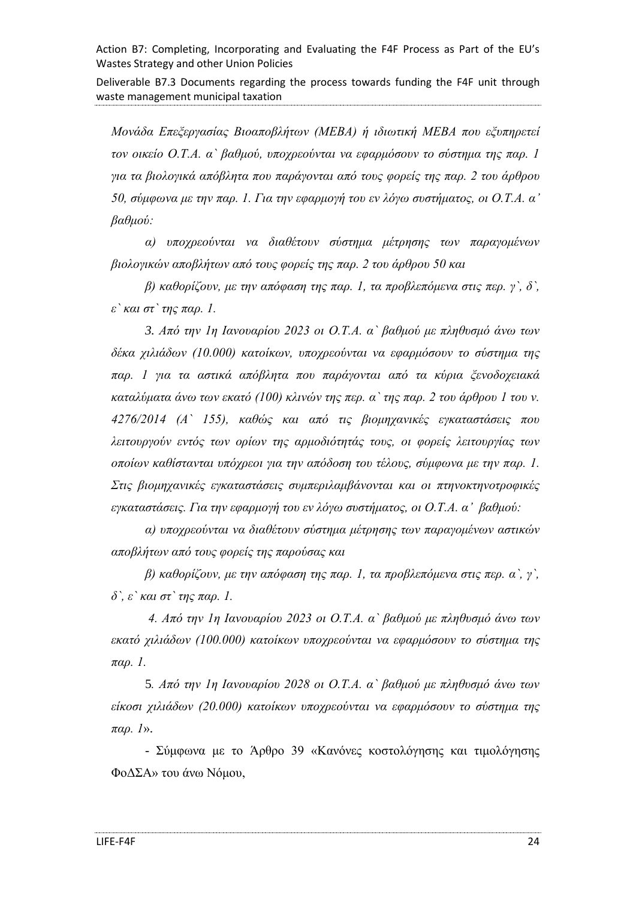Deliverable B7.3 Documents regarding the process towards funding the F4F unit through waste management municipal taxation

*Μονάδα Επεξεργασίας Βιοαποβλήτων (ΜΕΒΑ) ή ιδιωτική ΜΕΒΑ που εξυπηρετεί τον οικείο Ο.Τ.Α. α` βαθμού, υποχρεούνται να εφαρμόσουν το σύστημα της παρ. 1 για τα βιολογικά απόβλητα που παράγονται από τους φορείς της παρ. 2 του άρθρου 50, σύμφωνα με την παρ. 1. Για την εφαρμογή του εν λόγω συστήματος, οι Ο.Τ.Α. α' βαθμού:*

*α) υποχρεούνται να διαθέτουν σύστημα μέτρησης των παραγομένων βιολογικών αποβλήτων από τους φορείς της παρ. 2 του άρθρου 50 και*

*β) καθορίζουν, με την απόφαση της παρ. 1, τα προβλεπόμενα στις περ. γ`, δ`, ε` και στ` της παρ. 1.*

*3. Από την 1η Ιανουαρίου 2023 οι Ο.Τ.Α. α` βαθμού με πληθυσμό άνω των δέκα χιλιάδων (10.000) κατοίκων, υποχρεούνται να εφαρμόσουν το σύστημα της παρ. 1 για τα αστικά απόβλητα που παράγονται από τα κύρια ξενοδοχειακά καταλύματα άνω των εκατό (100) κλινών της περ. α` της παρ. 2 του άρθρου 1 του ν. 4276/2014 (Α` 155), καθώς και από τις βιομηχανικές εγκαταστάσεις που λειτουργούν εντός των ορίων της αρμοδιότητάς τους, οι φορείς λειτουργίας των οποίων καθίστανται υπόχρεοι για την απόδοση του τέλους, σύμφωνα με την παρ. 1. Στις βιομηχανικές εγκαταστάσεις συμπεριλαμβάνονται και οι πτηνοκτηνοτροφικές εγκαταστάσεις. Για την εφαρμογή του εν λόγω συστήματος, οι Ο.Τ.Α. α' βαθμού:*

*α) υποχρεούνται να διαθέτουν σύστημα μέτρησης των παραγομένων αστικών αποβλήτων από τους φορείς της παρούσας και*

*β) καθορίζουν, με την απόφαση της παρ. 1, τα προβλεπόμενα στις περ. α`, γ`, δ`, ε` και στ` της παρ. 1.*

*4. Από την 1η Ιανουαρίου 2023 οι Ο.Τ.Α. α` βαθμού με πληθυσμό άνω των εκατό χιλιάδων (100.000) κατοίκων υποχρεούνται να εφαρμόσουν το σύστημα της παρ. 1.*

5*. Από την 1η Ιανουαρίου 2028 οι Ο.Τ.Α. α` βαθμού με πληθυσμό άνω των είκοσι χιλιάδων (20.000) κατοίκων υποχρεούνται να εφαρμόσουν το σύστημα της παρ. 1*».

- Σύμφωνα με το Άρθρο 39 «Κανόνες κοστολόγησης και τιμολόγησης ΦοΔΣΑ» του άνω Νόμου,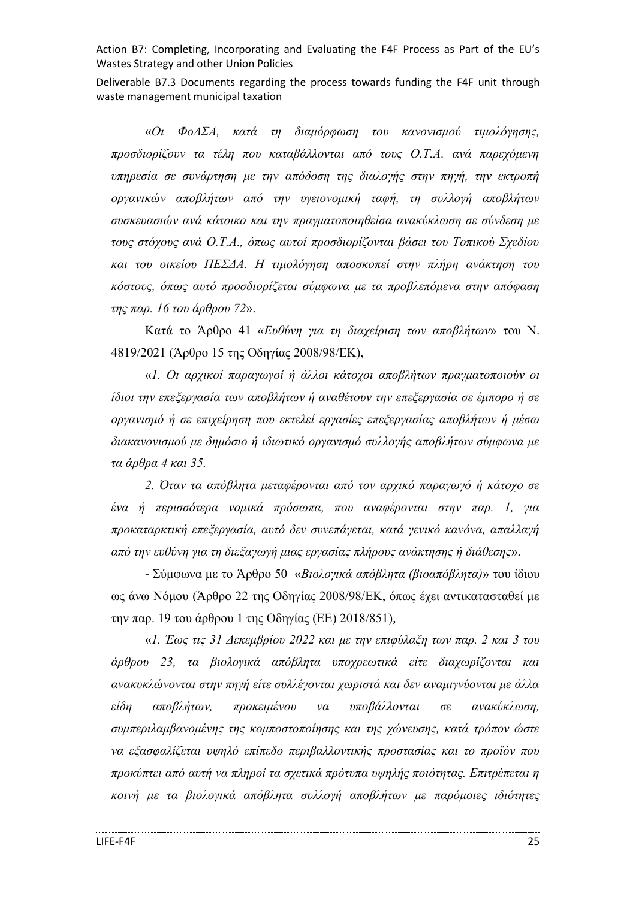Deliverable B7.3 Documents regarding the process towards funding the F4F unit through waste management municipal taxation

«*Οι ΦοΔΣΑ, κατά τη διαμόρφωση του κανονισμού τιμολόγησης, προσδιορίζουν τα τέλη που καταβάλλονται από τους Ο.Τ.Α. ανά παρεχόμενη υπηρεσία σε συνάρτηση με την απόδοση της διαλογής στην πηγή, την εκτροπή οργανικών αποβλήτων από την υγειονομική ταφή, τη συλλογή αποβλήτων συσκευασιών ανά κάτοικο και την πραγματοποιηθείσα ανακύκλωση σε σύνδεση με τους στόχους ανά Ο.Τ.Α., όπως αυτοί προσδιορίζονται βάσει του Τοπικού Σχεδίου και του οικείου ΠΕΣΔΑ. Η τιμολόγηση αποσκοπεί στην πλήρη ανάκτηση του κόστους, όπως αυτό προσδιορίζεται σύμφωνα με τα προβλεπόμενα στην απόφαση της παρ. 16 του άρθρου 72*».

Κατά το Άρθρο 41 «*Ευθύνη για τη διαχείριση των αποβλήτων*» του Ν. 4819/2021 (Άρθρο 15 της Οδηγίας 2008/98/ΕΚ),

«*1. Οι αρχικοί παραγωγοί ή άλλοι κάτοχοι αποβλήτων πραγματοποιούν οι ίδιοι την επεξεργασία των αποβλήτων ή αναθέτουν την επεξεργασία σε έμπορο ή σε οργανισμό ή σε επιχείρηση που εκτελεί εργασίες επεξεργασίας αποβλήτων ή μέσω διακανονισμού με δημόσιο ή ιδιωτικό οργανισμό συλλογής αποβλήτων σύμφωνα με τα άρθρα 4 και 35.*

*2. Όταν τα απόβλητα μεταφέρονται από τον αρχικό παραγωγό ή κάτοχο σε ένα ή περισσότερα νομικά πρόσωπα, που αναφέρονται στην παρ. 1, για προκαταρκτική επεξεργασία, αυτό δεν συνεπάγεται, κατά γενικό κανόνα, απαλλαγή από την ευθύνη για τη διεξαγωγή μιας εργασίας πλήρους ανάκτησης ή διάθεσης*».

- Σύμφωνα με το Άρθρο 50 «*Βιολογικά απόβλητα (βιοαπόβλητα)*» του ίδιου ως άνω Νόμου (Άρθρο 22 της Οδηγίας 2008/98/ΕΚ, όπως έχει αντικατασταθεί με την παρ. 19 του άρθρου 1 της Οδηγίας (ΕΕ) 2018/851),

«*1. Έως τις 31 Δεκεμβρίου 2022 και με την επιφύλαξη των παρ. 2 και 3 του άρθρου 23, τα βιολογικά απόβλητα υποχρεωτικά είτε διαχωρίζονται και ανακυκλώνονται στην πηγή είτε συλλέγονται χωριστά και δεν αναμιγνύονται με άλλα είδη αποβλήτων, προκειμένου να υποβάλλονται σε ανακύκλωση, συμπεριλαμβανομένης της κομποστοποίησης και της χώνευσης, κατά τρόπον ώστε να εξασφαλίζεται υψηλό επίπεδο περιβαλλοντικής προστασίας και το προϊόν που προκύπτει από αυτή να πληροί τα σχετικά πρότυπα υψηλής ποιότητας. Επιτρέπεται η κοινή με τα βιολογικά απόβλητα συλλογή αποβλήτων με παρόμοιες ιδιότητες*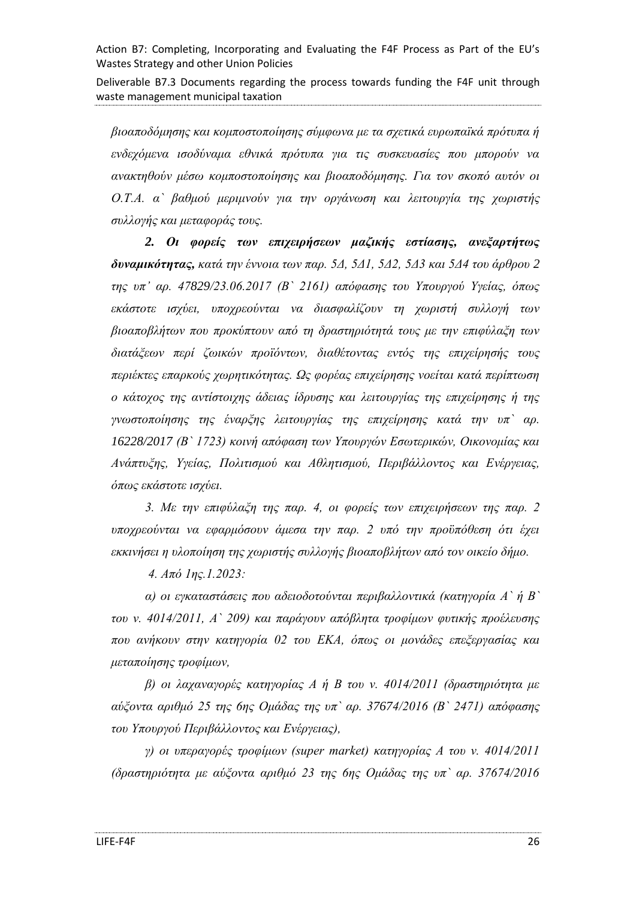Deliverable B7.3 Documents regarding the process towards funding the F4F unit through waste management municipal taxation

*βιοαποδόμησης και κομποστοποίησης σύμφωνα με τα σχετικά ευρωπαϊκά πρότυπα ή ενδεχόμενα ισοδύναμα εθνικά πρότυπα για τις συσκευασίες που μπορούν να ανακτηθούν μέσω κομποστοποίησης και βιοαποδόμησης. Για τον σκοπό αυτόν οι Ο.Τ.Α. α` βαθμού μεριμνούν για την οργάνωση και λειτουργία της χωριστής συλλογής και μεταφοράς τους.*

*2. Οι φορείς των επιχειρήσεων μαζικής εστίασης, ανεξαρτήτως δυναμικότητας, κατά την έννοια των παρ. 5Δ, 5Δ1, 5Δ2, 5Δ3 και 5Δ4 του άρθρου 2 της υπ' αρ. 47829/23.06.2017 (Β` 2161) απόφασης του Υπουργού Υγείας, όπως εκάστοτε ισχύει, υποχρεούνται να διασφαλίζουν τη χωριστή συλλογή των βιοαποβλήτων που προκύπτουν από τη δραστηριότητά τους με την επιφύλαξη των διατάξεων περί ζωικών προϊόντων, διαθέτοντας εντός της επιχείρησής τους περιέκτες επαρκούς χωρητικότητας. Ως φορέας επιχείρησης νοείται κατά περίπτωση ο κάτοχος της αντίστοιχης άδειας ίδρυσης και λειτουργίας της επιχείρησης ή της γνωστοποίησης της έναρξης λειτουργίας της επιχείρησης κατά την υπ` αρ. 16228/2017 (Β` 1723) κοινή απόφαση των Υπουργών Εσωτερικών, Οικονομίας και Ανάπτυξης, Υγείας, Πολιτισμού και Αθλητισμού, Περιβάλλοντος και Ενέργειας, όπως εκάστοτε ισχύει.*

*3. Με την επιφύλαξη της παρ. 4, οι φορείς των επιχειρήσεων της παρ. 2 υποχρεούνται να εφαρμόσουν άμεσα την παρ. 2 υπό την προϋπόθεση ότι έχει εκκινήσει η υλοποίηση της χωριστής συλλογής βιοαποβλήτων από τον οικείο δήμο.*

*4. Από 1ης.1.2023:*

*α) οι εγκαταστάσεις που αδειοδοτούνται περιβαλλοντικά (κατηγορία Α` ή Β` του ν. 4014/2011, Α` 209) και παράγουν απόβλητα τροφίμων φυτικής προέλευσης που ανήκουν στην κατηγορία 02 του ΕΚΑ, όπως οι μονάδες επεξεργασίας και μεταποίησης τροφίμων,*

*β) οι λαχαναγορές κατηγορίας Α ή Β του ν. 4014/2011 (δραστηριότητα με αύξοντα αριθμό 25 της 6ης Ομάδας της υπ` αρ. 37674/2016 (Β` 2471) απόφασης του Υπουργού Περιβάλλοντος και Ενέργειας),*

*γ) οι υπεραγορές τροφίμων (super market) κατηγορίας Α του ν. 4014/2011 (δραστηριότητα με αύξοντα αριθμό 23 της 6ης Ομάδας της υπ` αρ. 37674/2016*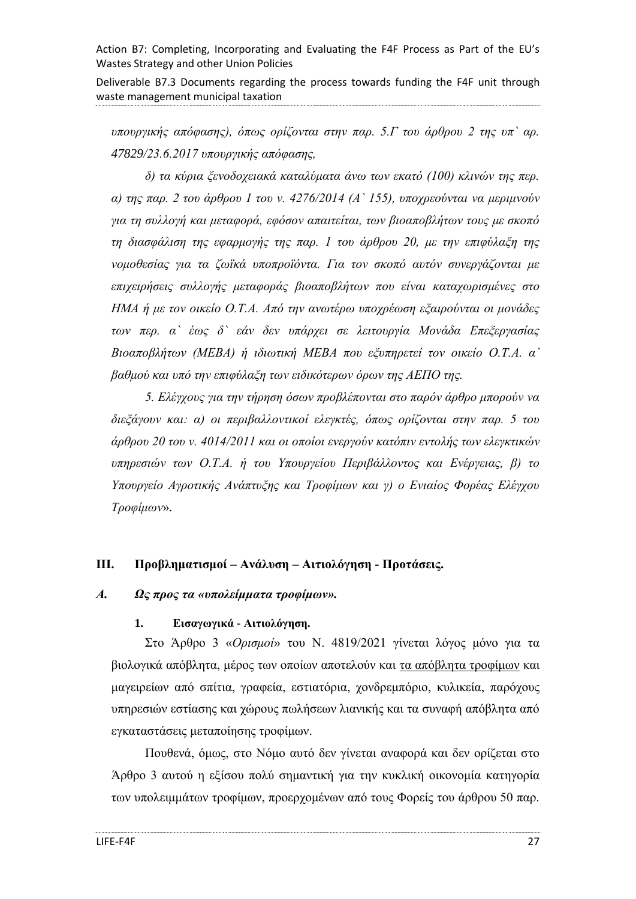Deliverable B7.3 Documents regarding the process towards funding the F4F unit through waste management municipal taxation

*υπουργικής απόφασης), όπως ορίζονται στην παρ. 5.Γ του άρθρου 2 της υπ` αρ. 47829/23.6.2017 υπουργικής απόφασης,*

*δ) τα κύρια ξενοδοχειακά καταλύματα άνω των εκατό (100) κλινών της περ. α) της παρ. 2 του άρθρου 1 του ν. 4276/2014 (Α` 155), υποχρεούνται να μεριμνούν για τη συλλογή και μεταφορά, εφόσον απαιτείται, των βιοαποβλήτων τους με σκοπό τη διασφάλιση της εφαρμογής της παρ. 1 του άρθρου 20, με την επιφύλαξη της νομοθεσίας για τα ζωϊκά υποπροϊόντα. Για τον σκοπό αυτόν συνεργάζονται με επιχειρήσεις συλλογής μεταφοράς βιοαποβλήτων που είναι καταχωρισμένες στο ΗΜΑ ή με τον οικείο Ο.Τ.Α. Από την ανωτέρω υποχρέωση εξαιρούνται οι μονάδες των περ. α` έως δ` εάν δεν υπάρχει σε λειτουργία Μονάδα Επεξεργασίας Βιοαποβλήτων (ΜΕΒΑ) ή ιδιωτική ΜΕΒΑ που εξυπηρετεί τον οικείο Ο.Τ.Α. α` βαθμού και υπό την επιφύλαξη των ειδικότερων όρων της ΑΕΠΟ της.*

*5. Ελέγχους για την τήρηση όσων προβλέπονται στο παρόν άρθρο μπορούν να διεξάγουν και: α) οι περιβαλλοντικοί ελεγκτές, όπως ορίζονται στην παρ. 5 του άρθρου 20 του ν. 4014/2011 και οι οποίοι ενεργούν κατόπιν εντολής των ελεγκτικών υπηρεσιών των Ο.Τ.Α. ή του Υπουργείου Περιβάλλοντος και Ενέργειας, β) το Υπουργείο Αγροτικής Ανάπτυξης και Τροφίμων και γ) ο Ενιαίος Φορέας Ελέγχου Τροφίμων*».

### <span id="page-26-0"></span>**ΙΙΙ. Προβληματισμοί – Ανάλυση – Αιτιολόγηση - Προτάσεις.**

### <span id="page-26-1"></span>*Α. Ως προς τα «υπολείμματα τροφίμων».*

### **1. Εισαγωγικά - Αιτιολόγηση.**

Στο Άρθρο 3 «*Ορισμοί*» του Ν. 4819/2021 γίνεται λόγος μόνο για τα βιολογικά απόβλητα, μέρος των οποίων αποτελούν και τα απόβλητα τροφίμων και μαγειρείων από σπίτια, γραφεία, εστιατόρια, χονδρεμπόριο, κυλικεία, παρόχους υπηρεσιών εστίασης και χώρους πωλήσεων λιανικής και τα συναφή απόβλητα από εγκαταστάσεις μεταποίησης τροφίμων.

Πουθενά, όμως, στο Νόμο αυτό δεν γίνεται αναφορά και δεν ορίζεται στο Άρθρο 3 αυτού η εξίσου πολύ σημαντική για την κυκλική οικονομία κατηγορία των υπολειμμάτων τροφίμων, προερχομένων από τους Φορείς του άρθρου 50 παρ.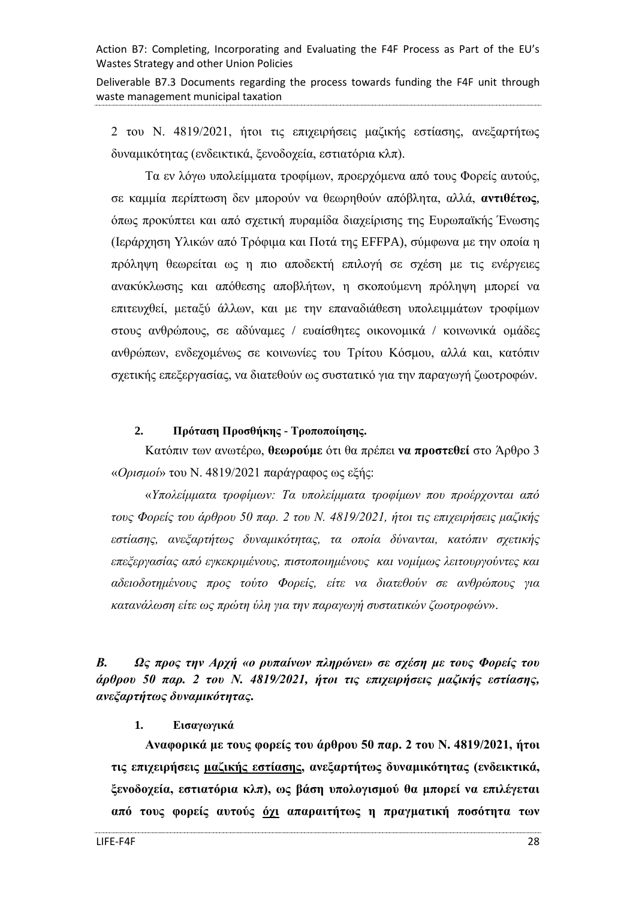Deliverable B7.3 Documents regarding the process towards funding the F4F unit through waste management municipal taxation

2 του Ν. 4819/2021, ήτοι τις επιχειρήσεις μαζικής εστίασης, ανεξαρτήτως δυναμικότητας (ενδεικτικά, ξενοδοχεία, εστιατόρια κλπ).

Τα εν λόγω υπολείμματα τροφίμων, προερχόμενα από τους Φορείς αυτούς, σε καμμία περίπτωση δεν μπορούν να θεωρηθούν απόβλητα, αλλά, **αντιθέτως**, όπως προκύπτει και από σχετική πυραμίδα διαχείρισης της Ευρωπαϊκής Ένωσης (Ιεράρχηση Υλικών από Τρόφιμα και Ποτά της EFFPA), σύμφωνα με την οποία η πρόληψη θεωρείται ως η πιο αποδεκτή επιλογή σε σχέση με τις ενέργειες ανακύκλωσης και απόθεσης αποβλήτων, η σκοπούμενη πρόληψη μπορεί να επιτευχθεί, μεταξύ άλλων, και με την επαναδιάθεση υπολειμμάτων τροφίμων στους ανθρώπους, σε αδύναμες / ευαίσθητες οικονομικά / κοινωνικά ομάδες ανθρώπων, ενδεχομένως σε κοινωνίες του Τρίτου Κόσμου, αλλά και, κατόπιν σχετικής επεξεργασίας, να διατεθούν ως συστατικό για την παραγωγή ζωοτροφών.

#### **2. Πρόταση Προσθήκης - Τροποποίησης.**

Κατόπιν των ανωτέρω, **θεωρούμε** ότι θα πρέπει **να προστεθεί** στο Άρθρο 3 «*Ορισμοί*» του Ν. 4819/2021 παράγραφος ως εξής:

«*Υπολείμματα τροφίμων: Τα υπολείμματα τροφίμων που προέρχονται από τους Φορείς του άρθρου 50 παρ. 2 του Ν. 4819/2021, ήτοι τις επιχειρήσεις μαζικής εστίασης, ανεξαρτήτως δυναμικότητας, τα οποία δύνανται, κατόπιν σχετικής επεξεργασίας από εγκεκριμένους, πιστοποιημένους και νομίμως λειτουργούντες και αδειοδοτημένους προς τούτο Φορείς, είτε να διατεθούν σε ανθρώπους για κατανάλωση είτε ως πρώτη ύλη για την παραγωγή συστατικών ζωοτροφών*».

<span id="page-27-0"></span>*Β. Ως προς την Αρχή «ο ρυπαίνων πληρώνει» σε σχέση με τους Φορείς του άρθρου 50 παρ. 2 του Ν. 4819/2021, ήτοι τις επιχειρήσεις μαζικής εστίασης, ανεξαρτήτως δυναμικότητας.*

#### **1. Εισαγωγικά**

**Αναφορικά με τους φορείς του άρθρου 50 παρ. 2 του Ν. 4819/2021, ήτοι τις επιχειρήσεις μαζικής εστίασης, ανεξαρτήτως δυναμικότητας (ενδεικτικά, ξενοδοχεία, εστιατόρια κλπ), ως βάση υπολογισμού θα μπορεί να επιλέγεται από τους φορείς αυτούς όχι απαραιτήτως η πραγματική ποσότητα των**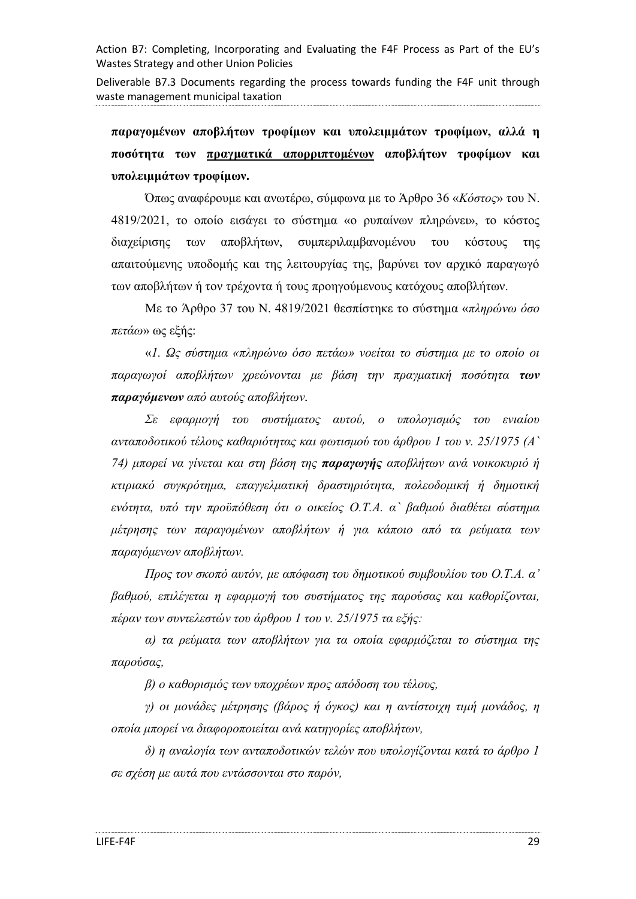Deliverable B7.3 Documents regarding the process towards funding the F4F unit through waste management municipal taxation

**παραγομένων αποβλήτων τροφίμων και υπολειμμάτων τροφίμων, αλλά η ποσότητα των πραγματικά απορριπτομένων αποβλήτων τροφίμων και υπολειμμάτων τροφίμων.**

Όπως αναφέρουμε και ανωτέρω, σύμφωνα με το Άρθρο 36 «*Κόστος*» του Ν. 4819/2021, το οποίο εισάγει το σύστημα «ο ρυπαίνων πληρώνει», το κόστος διαχείρισης των αποβλήτων, συμπεριλαμβανομένου του κόστους της απαιτούμενης υποδομής και της λειτουργίας της, βαρύνει τον αρχικό παραγωγό των αποβλήτων ή τον τρέχοντα ή τους προηγούμενους κατόχους αποβλήτων.

Με το Άρθρο 37 του Ν. 4819/2021 θεσπίστηκε το σύστημα «*πληρώνω όσο πετάω*» ως εξής:

«*1. Ως σύστημα «πληρώνω όσο πετάω» νοείται το σύστημα με το οποίο οι παραγωγοί αποβλήτων χρεώνονται με βάση την πραγματική ποσότητα των παραγόμενων από αυτούς αποβλήτων.*

*Σε εφαρμογή του συστήματος αυτού, ο υπολογισμός του ενιαίου ανταποδοτικού τέλους καθαριότητας και φωτισμού του άρθρου 1 του ν. 25/1975 (Α` 74) μπορεί να γίνεται και στη βάση της παραγωγής αποβλήτων ανά νοικοκυριό ή κτιριακό συγκρότημα, επαγγελματική δραστηριότητα, πολεοδομική ή δημοτική ενότητα, υπό την προϋπόθεση ότι ο οικείος Ο.Τ.Α. α` βαθμού διαθέτει σύστημα μέτρησης των παραγομένων αποβλήτων ή για κάποιο από τα ρεύματα των παραγόμενων αποβλήτων.*

*Προς τον σκοπό αυτόν, με απόφαση του δημοτικού συμβουλίου του Ο.Τ.Α. α' βαθμού, επιλέγεται η εφαρμογή του συστήματος της παρούσας και καθορίζονται, πέραν των συντελεστών του άρθρου 1 του ν. 25/1975 τα εξής:*

*α) τα ρεύματα των αποβλήτων για τα οποία εφαρμόζεται το σύστημα της παρούσας,*

*β) ο καθορισμός των υποχρέων προς απόδοση του τέλους,*

*γ) οι μονάδες μέτρησης (βάρος ή όγκος) και η αντίστοιχη τιμή μονάδος, η οποία μπορεί να διαφοροποιείται ανά κατηγορίες αποβλήτων,*

*δ) η αναλογία των ανταποδοτικών τελών που υπολογίζονται κατά το άρθρο 1 σε σχέση με αυτά που εντάσσονται στο παρόν,*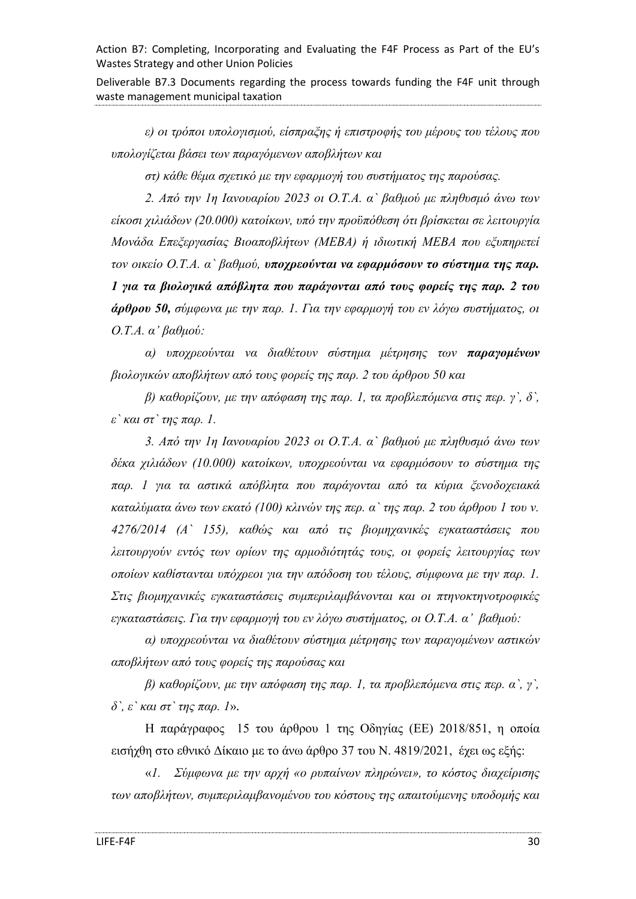Deliverable B7.3 Documents regarding the process towards funding the F4F unit through waste management municipal taxation

*ε) οι τρόποι υπολογισμού, είσπραξης ή επιστροφής του μέρους του τέλους που υπολογίζεται βάσει των παραγόμενων αποβλήτων και*

*στ) κάθε θέμα σχετικό με την εφαρμογή του συστήματος της παρούσας.*

*2. Από την 1η Ιανουαρίου 2023 οι Ο.Τ.Α. α` βαθμού με πληθυσμό άνω των είκοσι χιλιάδων (20.000) κατοίκων, υπό την προϋπόθεση ότι βρίσκεται σε λειτουργία Μονάδα Επεξεργασίας Βιοαποβλήτων (ΜΕΒΑ) ή ιδιωτική ΜΕΒΑ που εξυπηρετεί τον οικείο Ο.Τ.Α. α` βαθμού, υποχρεούνται να εφαρμόσουν το σύστημα της παρ. 1 για τα βιολογικά απόβλητα που παράγονται από τους φορείς της παρ. 2 του άρθρου 50, σύμφωνα με την παρ. 1. Για την εφαρμογή του εν λόγω συστήματος, οι Ο.Τ.Α. α' βαθμού:*

*α) υποχρεούνται να διαθέτουν σύστημα μέτρησης των παραγομένων βιολογικών αποβλήτων από τους φορείς της παρ. 2 του άρθρου 50 και*

*β) καθορίζουν, με την απόφαση της παρ. 1, τα προβλεπόμενα στις περ. γ`, δ`, ε` και στ` της παρ. 1.*

*3. Από την 1η Ιανουαρίου 2023 οι Ο.Τ.Α. α` βαθμού με πληθυσμό άνω των δέκα χιλιάδων (10.000) κατοίκων, υποχρεούνται να εφαρμόσουν το σύστημα της παρ. 1 για τα αστικά απόβλητα που παράγονται από τα κύρια ξενοδοχειακά καταλύματα άνω των εκατό (100) κλινών της περ. α` της παρ. 2 του άρθρου 1 του ν. 4276/2014 (Α` 155), καθώς και από τις βιομηχανικές εγκαταστάσεις που λειτουργούν εντός των ορίων της αρμοδιότητάς τους, οι φορείς λειτουργίας των οποίων καθίστανται υπόχρεοι για την απόδοση του τέλους, σύμφωνα με την παρ. 1. Στις βιομηχανικές εγκαταστάσεις συμπεριλαμβάνονται και οι πτηνοκτηνοτροφικές εγκαταστάσεις. Για την εφαρμογή του εν λόγω συστήματος, οι Ο.Τ.Α. α' βαθμού:*

*α) υποχρεούνται να διαθέτουν σύστημα μέτρησης των παραγομένων αστικών αποβλήτων από τους φορείς της παρούσας και*

*β) καθορίζουν, με την απόφαση της παρ. 1, τα προβλεπόμενα στις περ. α`, γ`, δ`, ε` και στ` της παρ. 1*»*.*

Η παράγραφος 15 του άρθρου 1 της Οδηγίας (ΕΕ) 2018/851, η οποία εισήχθη στο εθνικό Δίκαιο με το άνω άρθρο 37 του Ν. 4819/2021, έχει ως εξής:

«*1. Σύμφωνα με την αρχή «ο ρυπαίνων πληρώνει», το κόστος διαχείρισης των αποβλήτων, συμπεριλαμβανομένου του κόστους της απαιτούμενης υποδομής και*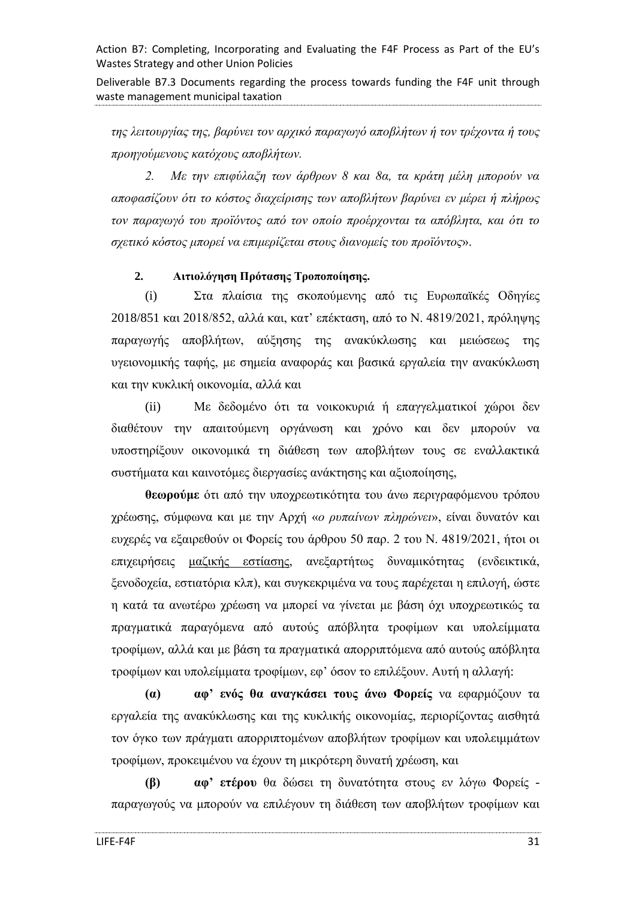Deliverable B7.3 Documents regarding the process towards funding the F4F unit through waste management municipal taxation

*της λειτουργίας της, βαρύνει τον αρχικό παραγωγό αποβλήτων ή τον τρέχοντα ή τους προηγούμενους κατόχους αποβλήτων.*

*2. Με την επιφύλαξη των άρθρων 8 και 8α, τα κράτη μέλη μπορούν να αποφασίζουν ότι το κόστος διαχείρισης των αποβλήτων βαρύνει εν μέρει ή πλήρως τον παραγωγό του προϊόντος από τον οποίο προέρχονται τα απόβλητα, και ότι το σχετικό κόστος μπορεί να επιμερίζεται στους διανομείς του προϊόντος*».

### **2. Αιτιολόγηση Πρότασης Τροποποίησης.**

(i) Στα πλαίσια της σκοπούμενης από τις Ευρωπαϊκές Οδηγίες 2018/851 και 2018/852, αλλά και, κατ' επέκταση, από το Ν. 4819/2021, πρόληψης παραγωγής αποβλήτων, αύξησης της ανακύκλωσης και μειώσεως της υγειονομικής ταφής, με σημεία αναφοράς και βασικά εργαλεία την ανακύκλωση και την κυκλική οικονομία, αλλά και

(ii) Με δεδομένο ότι τα νοικοκυριά ή επαγγελματικοί χώροι δεν διαθέτουν την απαιτούμενη οργάνωση και χρόνο και δεν μπορούν να υποστηρίξουν οικονομικά τη διάθεση των αποβλήτων τους σε εναλλακτικά συστήματα και καινοτόμες διεργασίες ανάκτησης και αξιοποίησης,

**θεωρούμε** ότι από την υποχρεωτικότητα του άνω περιγραφόμενου τρόπου χρέωσης, σύμφωνα και με την Αρχή «*ο ρυπαίνων πληρώνει*», είναι δυνατόν και ευχερές να εξαιρεθούν οι Φορείς του άρθρου 50 παρ. 2 του Ν. 4819/2021, ήτοι οι επιχειρήσεις μαζικής εστίασης, ανεξαρτήτως δυναμικότητας (ενδεικτικά, ξενοδοχεία, εστιατόρια κλπ), και συγκεκριμένα να τους παρέχεται η επιλογή, ώστε η κατά τα ανωτέρω χρέωση να μπορεί να γίνεται με βάση όχι υποχρεωτικώς τα πραγματικά παραγόμενα από αυτούς απόβλητα τροφίμων και υπολείμματα τροφίμων, αλλά και με βάση τα πραγματικά απορριπτόμενα από αυτούς απόβλητα τροφίμων και υπολείμματα τροφίμων, εφ' όσον το επιλέξουν. Αυτή η αλλαγή:

**(α) αφ' ενός θα αναγκάσει τους άνω Φορείς** να εφαρμόζουν τα εργαλεία της ανακύκλωσης και της κυκλικής οικονομίας, περιορίζοντας αισθητά τον όγκο των πράγματι απορριπτομένων αποβλήτων τροφίμων και υπολειμμάτων τροφίμων, προκειμένου να έχουν τη μικρότερη δυνατή χρέωση, και

**(β) αφ' ετέρου** θα δώσει τη δυνατότητα στους εν λόγω Φορείς παραγωγούς να μπορούν να επιλέγουν τη διάθεση των αποβλήτων τροφίμων και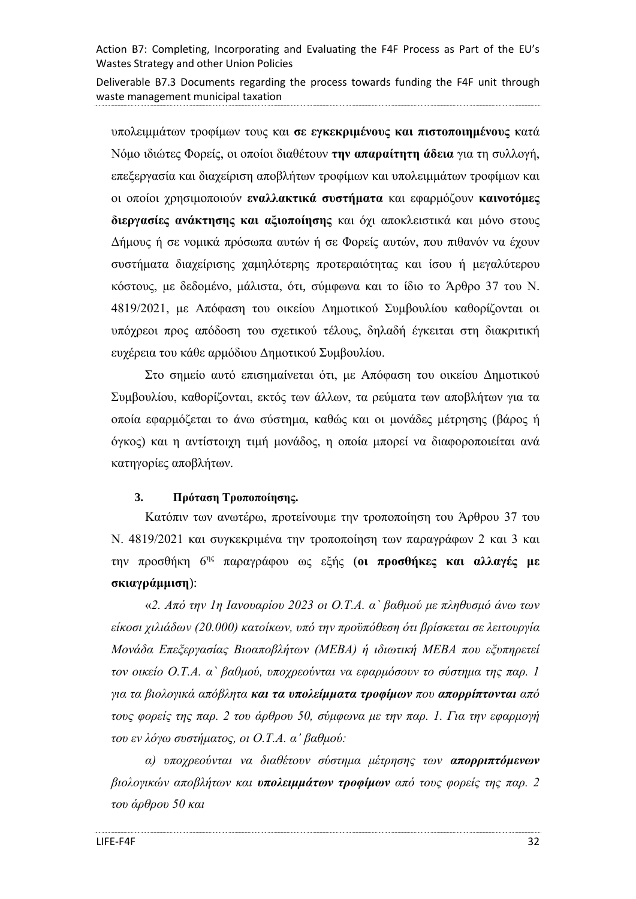Deliverable B7.3 Documents regarding the process towards funding the F4F unit through waste management municipal taxation

υπολειμμάτων τροφίμων τους και **σε εγκεκριμένους και πιστοποιημένους** κατά Νόμο ιδιώτες Φορείς, οι οποίοι διαθέτουν **την απαραίτητη άδεια** για τη συλλογή, επεξεργασία και διαχείριση αποβλήτων τροφίμων και υπολειμμάτων τροφίμων και οι οποίοι χρησιμοποιούν **εναλλακτικά συστήματα** και εφαρμόζουν **καινοτόμες διεργασίες ανάκτησης και αξιοποίησης** και όχι αποκλειστικά και μόνο στους Δήμους ή σε νομικά πρόσωπα αυτών ή σε Φορείς αυτών, που πιθανόν να έχουν συστήματα διαχείρισης χαμηλότερης προτεραιότητας και ίσου ή μεγαλύτερου κόστους, με δεδομένο, μάλιστα, ότι, σύμφωνα και το ίδιο το Άρθρο 37 του Ν. 4819/2021, με Απόφαση του οικείου Δημοτικού Συμβουλίου καθορίζονται οι υπόχρεοι προς απόδοση του σχετικού τέλους, δηλαδή έγκειται στη διακριτική ευχέρεια του κάθε αρμόδιου Δημοτικού Συμβουλίου.

Στο σημείο αυτό επισημαίνεται ότι, με Απόφαση του οικείου Δημοτικού Συμβουλίου, καθορίζονται, εκτός των άλλων, τα ρεύματα των αποβλήτων για τα οποία εφαρμόζεται το άνω σύστημα, καθώς και οι μονάδες μέτρησης (βάρος ή όγκος) και η αντίστοιχη τιμή μονάδος, η οποία μπορεί να διαφοροποιείται ανά κατηγορίες αποβλήτων.

### **3. Πρόταση Τροποποίησης.**

Κατόπιν των ανωτέρω, προτείνουμε την τροποποίηση του Άρθρου 37 του Ν. 4819/2021 και συγκεκριμένα την τροποποίηση των παραγράφων 2 και 3 και την προσθήκη 6ης παραγράφου ως εξής (**οι προσθήκες και αλλαγές με σκιαγράμμιση**):

«*2. Από την 1η Ιανουαρίου 2023 οι Ο.Τ.Α. α` βαθμού με πληθυσμό άνω των είκοσι χιλιάδων (20.000) κατοίκων, υπό την προϋπόθεση ότι βρίσκεται σε λειτουργία Μονάδα Επεξεργασίας Βιοαποβλήτων (ΜΕΒΑ) ή ιδιωτική ΜΕΒΑ που εξυπηρετεί τον οικείο Ο.Τ.Α. α` βαθμού, υποχρεούνται να εφαρμόσουν το σύστημα της παρ. 1 για τα βιολογικά απόβλητα και τα υπολείμματα τροφίμων που απορρίπτονται από τους φορείς της παρ. 2 του άρθρου 50, σύμφωνα με την παρ. 1. Για την εφαρμογή του εν λόγω συστήματος, οι Ο.Τ.Α. α' βαθμού:*

*α) υποχρεούνται να διαθέτουν σύστημα μέτρησης των απορριπτόμενων βιολογικών αποβλήτων και υπολειμμάτων τροφίμων από τους φορείς της παρ. 2 του άρθρου 50 και*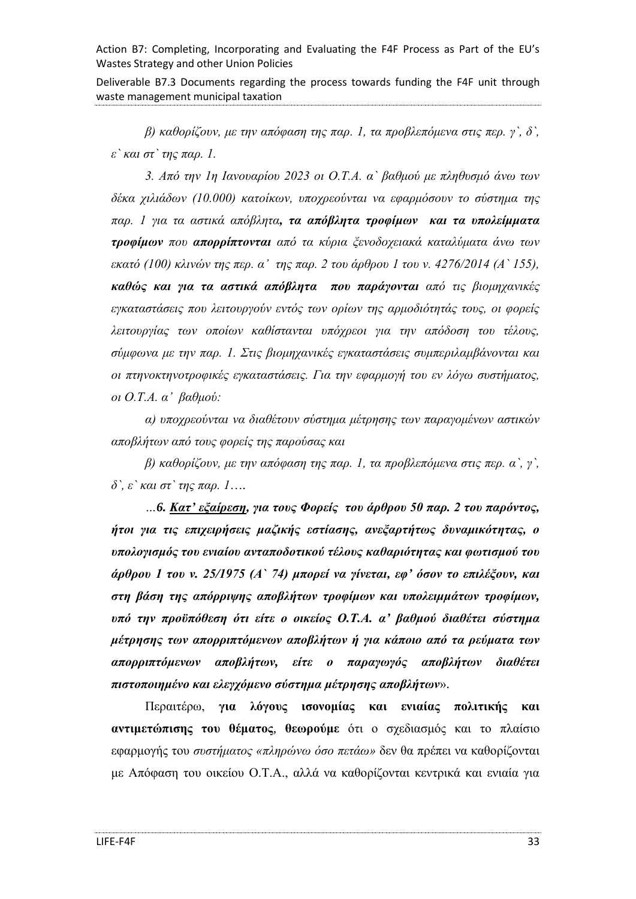Deliverable B7.3 Documents regarding the process towards funding the F4F unit through waste management municipal taxation

*β) καθορίζουν, με την απόφαση της παρ. 1, τα προβλεπόμενα στις περ. γ`, δ`, ε` και στ` της παρ. 1.*

*3. Από την 1η Ιανουαρίου 2023 οι Ο.Τ.Α. α` βαθμού με πληθυσμό άνω των δέκα χιλιάδων (10.000) κατοίκων, υποχρεούνται να εφαρμόσουν το σύστημα της παρ. 1 για τα αστικά απόβλητα, τα απόβλητα τροφίμων και τα υπολείμματα τροφίμων που απορρίπτονται από τα κύρια ξενοδοχειακά καταλύματα άνω των εκατό (100) κλινών της περ. α' της παρ. 2 του άρθρου 1 του ν. 4276/2014 (Α` 155), καθώς και για τα αστικά απόβλητα που παράγονται από τις βιομηχανικές εγκαταστάσεις που λειτουργούν εντός των ορίων της αρμοδιότητάς τους, οι φορείς λειτουργίας των οποίων καθίστανται υπόχρεοι για την απόδοση του τέλους, σύμφωνα με την παρ. 1. Στις βιομηχανικές εγκαταστάσεις συμπεριλαμβάνονται και οι πτηνοκτηνοτροφικές εγκαταστάσεις. Για την εφαρμογή του εν λόγω συστήματος, οι Ο.Τ.Α. α' βαθμού:*

*α) υποχρεούνται να διαθέτουν σύστημα μέτρησης των παραγομένων αστικών αποβλήτων από τους φορείς της παρούσας και*

*β) καθορίζουν, με την απόφαση της παρ. 1, τα προβλεπόμενα στις περ. α`, γ`, δ`, ε` και στ` της παρ. 1*…*.*

*…6. Κατ' εξαίρεση, για τους Φορείς του άρθρου 50 παρ. 2 του παρόντος, ήτοι για τις επιχειρήσεις μαζικής εστίασης, ανεξαρτήτως δυναμικότητας, ο υπολογισμός του ενιαίου ανταποδοτικού τέλους καθαριότητας και φωτισμού του άρθρου 1 του ν. 25/1975 (Α` 74) μπορεί να γίνεται, εφ' όσον το επιλέξουν, και στη βάση της απόρριψης αποβλήτων τροφίμων και υπολειμμάτων τροφίμων, υπό την προϋπόθεση ότι είτε ο οικείος Ο.Τ.Α. α' βαθμού διαθέτει σύστημα μέτρησης των απορριπτόμενων αποβλήτων ή για κάποιο από τα ρεύματα των απορριπτόμενων αποβλήτων, είτε ο παραγωγός αποβλήτων διαθέτει πιστοποιημένο και ελεγχόμενο σύστημα μέτρησης αποβλήτων*».

Περαιτέρω, **για λόγους ισονομίας και ενιαίας πολιτικής και αντιμετώπισης του θέματος**, **θεωρούμε** ότι ο σχεδιασμός και το πλαίσιο εφαρμογής του *συστήματος «πληρώνω όσο πετάω»* δεν θα πρέπει να καθορίζονται με Απόφαση του οικείου Ο.Τ.Α., αλλά να καθορίζονται κεντρικά και ενιαία για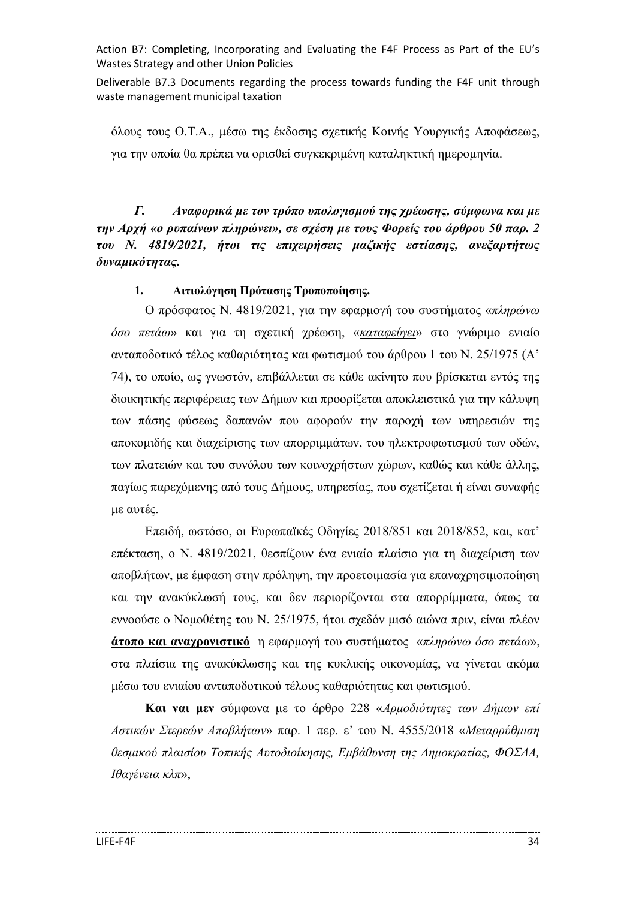Deliverable B7.3 Documents regarding the process towards funding the F4F unit through waste management municipal taxation

όλους τους Ο.Τ.Α., μέσω της έκδοσης σχετικής Κοινής Υουργικής Αποφάσεως, για την οποία θα πρέπει να ορισθεί συγκεκριμένη καταληκτική ημερομηνία.

<span id="page-33-0"></span>*Γ. Αναφορικά με τον τρόπο υπολογισμού της χρέωσης, σύμφωνα και με την Αρχή «ο ρυπαίνων πληρώνει», σε σχέση με τους Φορείς του άρθρου 50 παρ. 2 του Ν. 4819/2021, ήτοι τις επιχειρήσεις μαζικής εστίασης, ανεξαρτήτως δυναμικότητας.*

### **1. Αιτιολόγηση Πρότασης Τροποποίησης.**

Ο πρόσφατος Ν. 4819/2021, για την εφαρμογή του συστήματος «*πληρώνω όσο πετάω*» και για τη σχετική χρέωση, «*καταφεύγει*» στο γνώριμο ενιαίο ανταποδοτικό τέλος καθαριότητας και φωτισμού του άρθρου 1 του Ν. 25/1975 (Α' 74), το οποίο, ως γνωστόν, επιβάλλεται σε κάθε ακίνητο που βρίσκεται εντός της διοικητικής περιφέρειας των Δήμων και προορίζεται αποκλειστικά για την κάλυψη των πάσης φύσεως δαπανών που αφορούν την παροχή των υπηρεσιών της αποκομιδής και διαχείρισης των απορριμμάτων, του ηλεκτροφωτισμού των οδών, των πλατειών και του συνόλου των κοινοχρήστων χώρων, καθώς και κάθε άλλης, παγίως παρεχόμενης από τους Δήμους, υπηρεσίας, που σχετίζεται ή είναι συναφής με αυτές.

Επειδή, ωστόσο, οι Ευρωπαϊκές Οδηγίες 2018/851 και 2018/852, και, κατ' επέκταση, ο Ν. 4819/2021, θεσπίζουν ένα ενιαίο πλαίσιο για τη διαχείριση των αποβλήτων, με έμφαση στην πρόληψη, την προετοιμασία για επαναχρησιμοποίηση και την ανακύκλωσή τους, και δεν περιορίζονται στα απορρίμματα, όπως τα εννοούσε ο Νομοθέτης του Ν. 25/1975, ήτοι σχεδόν μισό αιώνα πριν, είναι πλέον **άτοπο και αναχρονιστικό** η εφαρμογή του συστήματος «*πληρώνω όσο πετάω*», στα πλαίσια της ανακύκλωσης και της κυκλικής οικονομίας, να γίνεται ακόμα μέσω του ενιαίου ανταποδοτικού τέλους καθαριότητας και φωτισμού.

**Και ναι μεν** σύμφωνα με το άρθρο 228 «*Αρμοδιότητες των Δήμων επί Αστικών Στερεών Αποβλήτων*» παρ. 1 περ. ε' του Ν. 4555/2018 «*Μεταρρύθμιση θεσμικού πλαισίου Τοπικής Αυτοδιοίκησης, Εμβάθυνση της Δημοκρατίας, ΦΟΣΔΑ, Ιθαγένεια κλπ*»,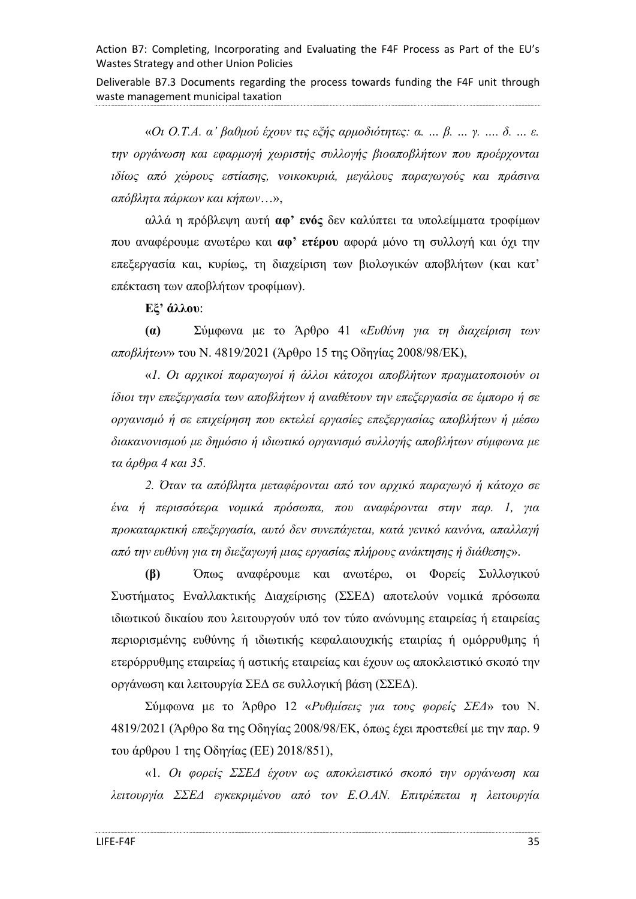Deliverable B7.3 Documents regarding the process towards funding the F4F unit through waste management municipal taxation

«*Οι Ο.Τ.Α. α' βαθμού έχουν τις εξής αρμοδιότητες: α. … β. … γ. …. δ. … ε. την οργάνωση και εφαρμογή χωριστής συλλογής βιοαποβλήτων που προέρχονται ιδίως από χώρους εστίασης, νοικοκυριά, μεγάλους παραγωγούς και πράσινα απόβλητα πάρκων και κήπων*…»,

αλλά η πρόβλεψη αυτή **αφ' ενός** δεν καλύπτει τα υπολείμματα τροφίμων που αναφέρουμε ανωτέρω και **αφ' ετέρου** αφορά μόνο τη συλλογή και όχι την επεξεργασία και, κυρίως, τη διαχείριση των βιολογικών αποβλήτων (και κατ' επέκταση των αποβλήτων τροφίμων).

**Εξ' άλλου**:

**(α)** Σύμφωνα με το Άρθρο 41 «*Ευθύνη για τη διαχείριση των αποβλήτων*» του Ν. 4819/2021 (Άρθρο 15 της Οδηγίας 2008/98/ΕΚ),

«*1. Οι αρχικοί παραγωγοί ή άλλοι κάτοχοι αποβλήτων πραγματοποιούν οι ίδιοι την επεξεργασία των αποβλήτων ή αναθέτουν την επεξεργασία σε έμπορο ή σε οργανισμό ή σε επιχείρηση που εκτελεί εργασίες επεξεργασίας αποβλήτων ή μέσω διακανονισμού με δημόσιο ή ιδιωτικό οργανισμό συλλογής αποβλήτων σύμφωνα με τα άρθρα 4 και 35.*

*2. Όταν τα απόβλητα μεταφέρονται από τον αρχικό παραγωγό ή κάτοχο σε ένα ή περισσότερα νομικά πρόσωπα, που αναφέρονται στην παρ. 1, για προκαταρκτική επεξεργασία, αυτό δεν συνεπάγεται, κατά γενικό κανόνα, απαλλαγή από την ευθύνη για τη διεξαγωγή μιας εργασίας πλήρους ανάκτησης ή διάθεσης*».

**(β)** Όπως αναφέρουμε και ανωτέρω, οι Φορείς Συλλογικού Συστήματος Εναλλακτικής Διαχείρισης (ΣΣΕΔ) αποτελούν νομικά πρόσωπα ιδιωτικού δικαίου που λειτουργούν υπό τον τύπο ανώνυμης εταιρείας ή εταιρείας περιορισμένης ευθύνης ή ιδιωτικής κεφαλαιουχικής εταιρίας ή ομόρρυθμης ή ετερόρρυθμης εταιρείας ή αστικής εταιρείας και έχουν ως αποκλειστικό σκοπό την οργάνωση και λειτουργία ΣΕΔ σε συλλογική βάση (ΣΣΕΔ).

Σύμφωνα με το Άρθρο 12 «*Ρυθμίσεις για τους φορείς ΣΕΔ*» του Ν. 4819/2021 (Άρθρο 8α της Οδηγίας 2008/98/ΕΚ, όπως έχει προστεθεί με την παρ. 9 του άρθρου 1 της Οδηγίας (ΕΕ) 2018/851),

«1*. Οι φορείς ΣΣΕΔ έχουν ως αποκλειστικό σκοπό την οργάνωση και λειτουργία ΣΣΕΔ εγκεκριμένου από τον Ε.Ο.ΑΝ. Επιτρέπεται η λειτουργία*